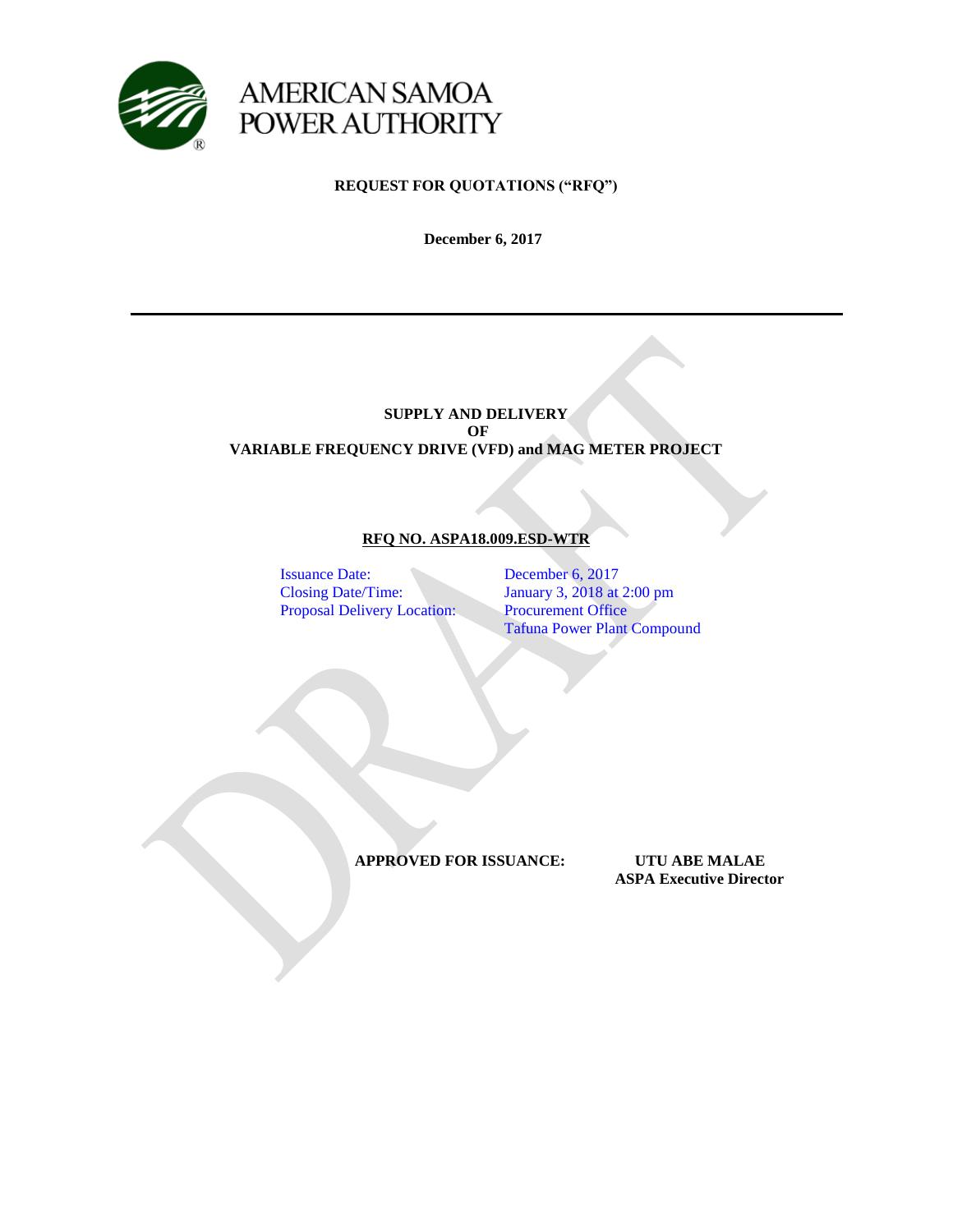

**REQUEST FOR QUOTATIONS ("RFQ")**

**December 6, 2017**

## **SUPPLY AND DELIVERY OF VARIABLE FREQUENCY DRIVE (VFD) and MAG METER PROJECT**

# **RFQ NO. ASPA18.009.ESD-WTR**

Issuance Date: December 6, 2017 Proposal Delivery Location: Procurement Office

Closing Date/Time: January 3, 2018 at 2:00 pm Tafuna Power Plant Compound

**APPROVED FOR ISSUANCE: UTU ABE MALAE**

 **ASPA Executive Director**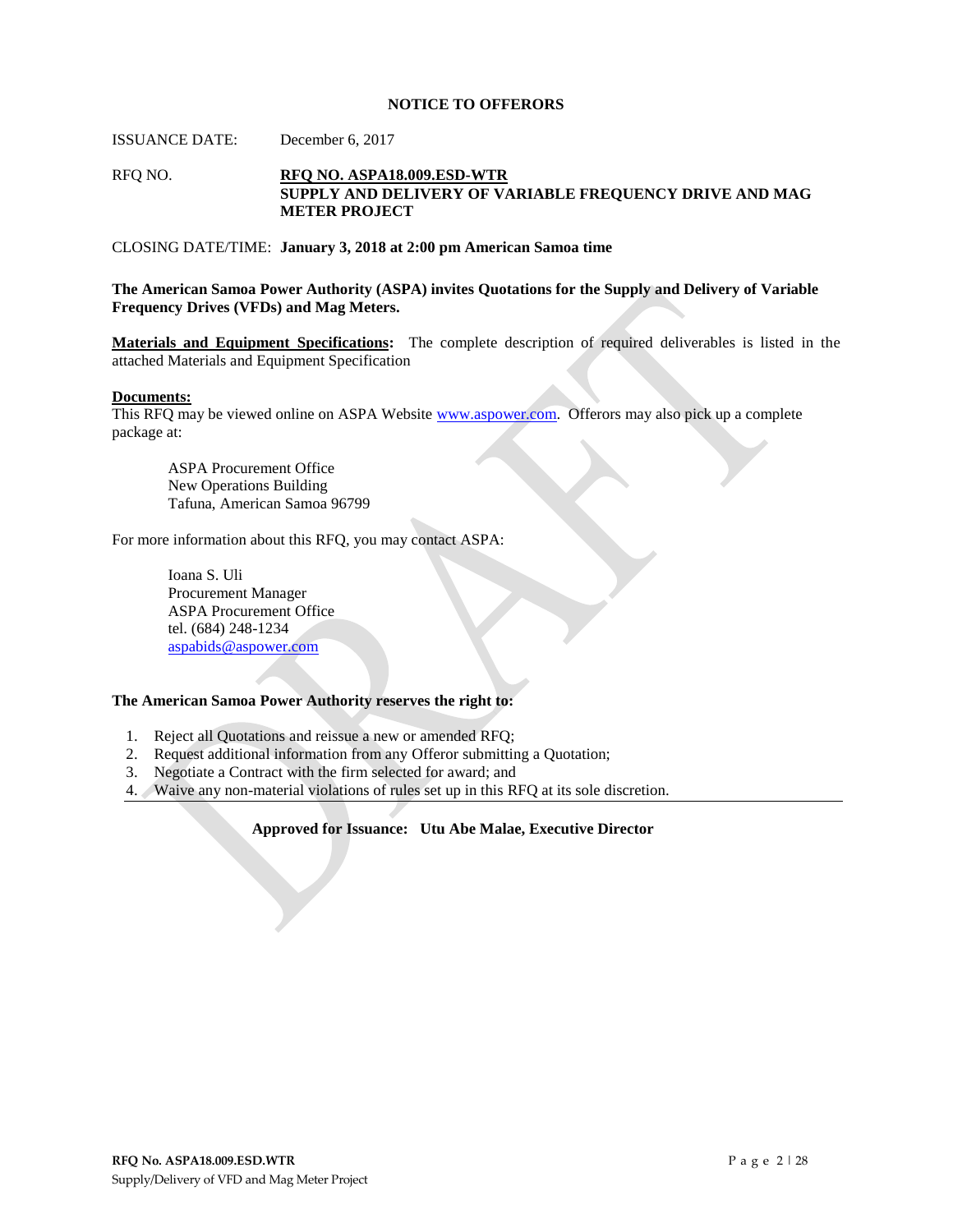#### **NOTICE TO OFFERORS**

ISSUANCE DATE: December 6, 2017

#### RFQ NO. **RFQ NO. ASPA18.009.ESD-WTR SUPPLY AND DELIVERY OF VARIABLE FREQUENCY DRIVE AND MAG METER PROJECT**

#### CLOSING DATE/TIME: **January 3, 2018 at 2:00 pm American Samoa time**

**The American Samoa Power Authority (ASPA) invites Quotations for the Supply and Delivery of Variable Frequency Drives (VFDs) and Mag Meters.**

**Materials and Equipment Specifications:** The complete description of required deliverables is listed in the attached Materials and Equipment Specification

#### **Documents:**

This RFQ may be viewed online on ASPA Website [www.aspower.com.](http://www.aspower.com/) Offerors may also pick up a complete package at:

ASPA Procurement Office New Operations Building Tafuna, American Samoa 96799

For more information about this RFQ, you may contact ASPA:

Ioana S. Uli Procurement Manager ASPA Procurement Office tel. (684) 248-1234 [aspabids@aspower.com](mailto:aspabids@aspower.com)

#### **The American Samoa Power Authority reserves the right to:**

- 1. Reject all Quotations and reissue a new or amended RFQ;
- 2. Request additional information from any Offeror submitting a Quotation;
- 3. Negotiate a Contract with the firm selected for award; and
- 4. Waive any non-material violations of rules set up in this RFQ at its sole discretion.

#### **Approved for Issuance: Utu Abe Malae, Executive Director**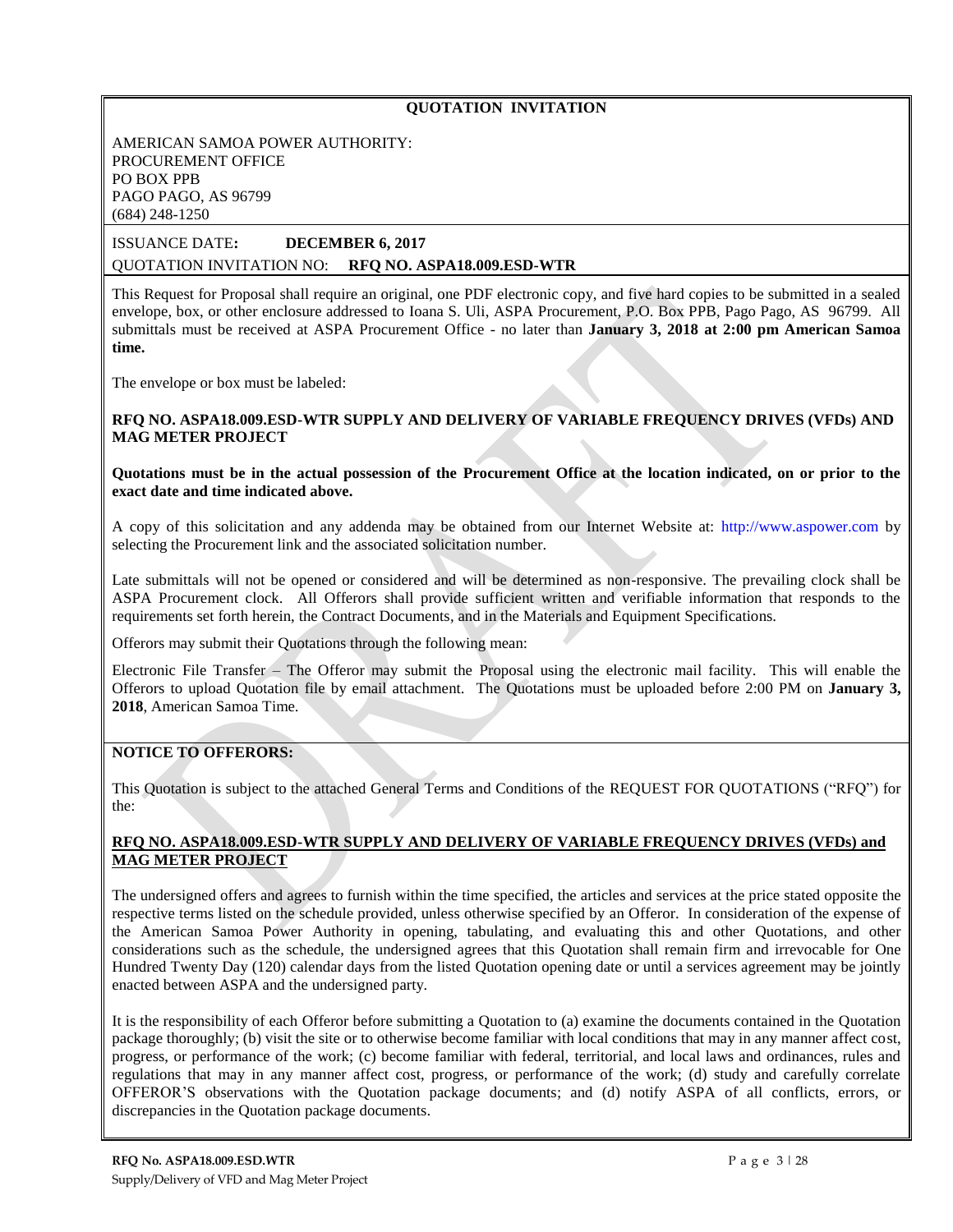## **QUOTATION INVITATION**

AMERICAN SAMOA POWER AUTHORITY: PROCUREMENT OFFICE PO BOX PPB PAGO PAGO, AS 96799 (684) 248-1250

## ISSUANCE DATE**: DECEMBER 6, 2017** QUOTATION INVITATION NO: **RFQ NO. ASPA18.009.ESD-WTR**

This Request for Proposal shall require an original, one PDF electronic copy, and five hard copies to be submitted in a sealed envelope, box, or other enclosure addressed to Ioana S. Uli, ASPA Procurement, P.O. Box PPB, Pago Pago, AS 96799. All submittals must be received at ASPA Procurement Office - no later than **January 3, 2018 at 2:00 pm American Samoa time.**

The envelope or box must be labeled:

### **RFQ NO. ASPA18.009.ESD-WTR SUPPLY AND DELIVERY OF VARIABLE FREQUENCY DRIVES (VFDs) AND MAG METER PROJECT**

**Quotations must be in the actual possession of the Procurement Office at the location indicated, on or prior to the exact date and time indicated above.**

A copy of this solicitation and any addenda may be obtained from our Internet Website at: [http://www.aspower.com](http://www.aspower.com/) by selecting the Procurement link and the associated solicitation number.

Late submittals will not be opened or considered and will be determined as non-responsive. The prevailing clock shall be ASPA Procurement clock. All Offerors shall provide sufficient written and verifiable information that responds to the requirements set forth herein, the Contract Documents, and in the Materials and Equipment Specifications.

**1)** Offerors may submit their Quotations through the following mean:

Electronic File Transfer – The Offeror may submit the Proposal using the electronic mail facility. This will enable the Offerors to upload Quotation file by email attachment. The Quotations must be uploaded before 2:00 PM on **January 3, 2018**, American Samoa Time.

## **NOTICE TO OFFERORS:**

This Quotation is subject to the attached General Terms and Conditions of the REQUEST FOR QUOTATIONS ("RFQ") for the:

## **RFQ NO. ASPA18.009.ESD-WTR SUPPLY AND DELIVERY OF VARIABLE FREQUENCY DRIVES (VFDs) and MAG METER PROJECT**

The undersigned offers and agrees to furnish within the time specified, the articles and services at the price stated opposite the respective terms listed on the schedule provided, unless otherwise specified by an Offeror. In consideration of the expense of the American Samoa Power Authority in opening, tabulating, and evaluating this and other Quotations, and other considerations such as the schedule, the undersigned agrees that this Quotation shall remain firm and irrevocable for One Hundred Twenty Day (120) calendar days from the listed Quotation opening date or until a services agreement may be jointly enacted between ASPA and the undersigned party.

It is the responsibility of each Offeror before submitting a Quotation to (a) examine the documents contained in the Quotation package thoroughly; (b) visit the site or to otherwise become familiar with local conditions that may in any manner affect cost, progress, or performance of the work; (c) become familiar with federal, territorial, and local laws and ordinances, rules and regulations that may in any manner affect cost, progress, or performance of the work; (d) study and carefully correlate OFFEROR'S observations with the Quotation package documents; and (d) notify ASPA of all conflicts, errors, or discrepancies in the Quotation package documents.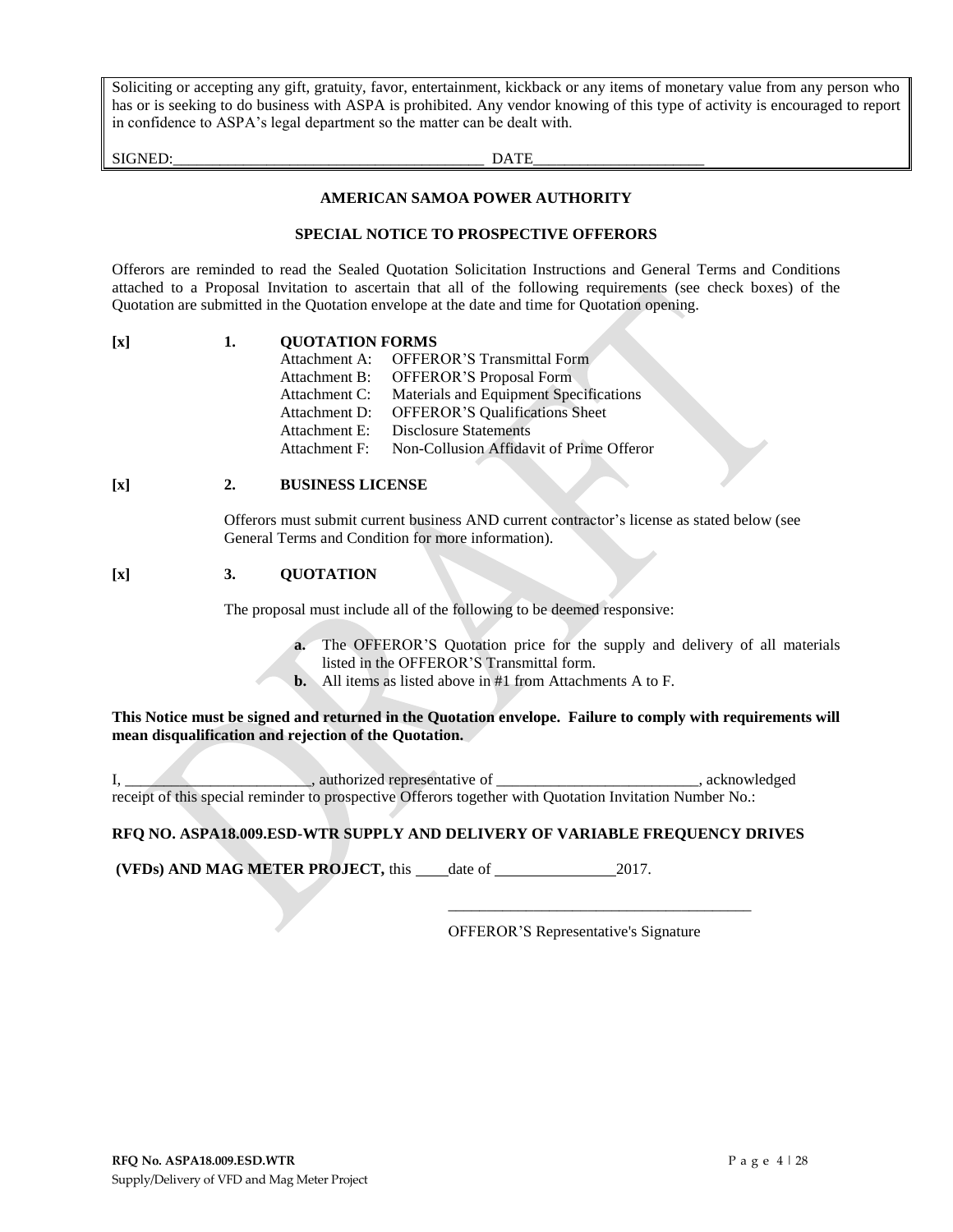Soliciting or accepting any gift, gratuity, favor, entertainment, kickback or any items of monetary value from any person who has or is seeking to do business with ASPA is prohibited. Any vendor knowing of this type of activity is encouraged to report in confidence to ASPA's legal department so the matter can be dealt with.

SIGNED:\_\_\_\_\_\_\_\_\_\_\_\_\_\_\_\_\_\_\_\_\_\_\_\_\_\_\_\_\_\_\_\_\_\_\_\_\_\_\_\_ DATE\_\_\_\_\_\_\_\_\_\_\_\_\_\_\_\_\_\_\_\_\_\_

#### **AMERICAN SAMOA POWER AUTHORITY**

#### **SPECIAL NOTICE TO PROSPECTIVE OFFERORS**

Offerors are reminded to read the Sealed Quotation Solicitation Instructions and General Terms and Conditions attached to a Proposal Invitation to ascertain that all of the following requirements (see check boxes) of the Quotation are submitted in the Quotation envelope at the date and time for Quotation opening.

| $\mathbf{x}$ | <b>QUOTATION FORMS</b>                                               |  |  |
|--------------|----------------------------------------------------------------------|--|--|
|              | $\triangle$ EEE<br>$A$ <sup><i>thoolamagnt</i> <math>A</math>.</sup> |  |  |

| Attachment A: | <b>OFFEROR'S Transmittal Form</b>        |
|---------------|------------------------------------------|
| Attachment B: | <b>OFFEROR'S Proposal Form</b>           |
| Attachment C: | Materials and Equipment Specifications   |
| Attachment D: | <b>OFFEROR'S Qualifications Sheet</b>    |
| Attachment E: | <b>Disclosure Statements</b>             |
| Attachment F: | Non-Collusion Affidavit of Prime Offeror |

## **[x] 2. BUSINESS LICENSE**

Offerors must submit current business AND current contractor's license as stated below (see General Terms and Condition for more information).

#### **[x] 3. QUOTATION**

The proposal must include all of the following to be deemed responsive:

- **a.** The OFFEROR'S Quotation price for the supply and delivery of all materials listed in the OFFEROR'S Transmittal form.
- **b.** All items as listed above in #1 from Attachments A to F.

**This Notice must be signed and returned in the Quotation envelope. Failure to comply with requirements will mean disqualification and rejection of the Quotation.**

I, \_\_\_\_\_\_\_\_\_\_\_\_\_\_\_, authorized representative of \_\_\_\_\_\_\_\_\_\_\_\_\_\_\_\_\_\_\_\_\_\_\_\_\_, acknowledged receipt of this special reminder to prospective Offerors together with Quotation Invitation Number No.:

**RFQ NO. ASPA18.009.ESD-WTR SUPPLY AND DELIVERY OF VARIABLE FREQUENCY DRIVES**

**(VFDs) AND MAG METER PROJECT, this date of 2017.** 

OFFEROR'S Representative's Signature

\_\_\_\_\_\_\_\_\_\_\_\_\_\_\_\_\_\_\_\_\_\_\_\_\_\_\_\_\_\_\_\_\_\_\_\_\_\_\_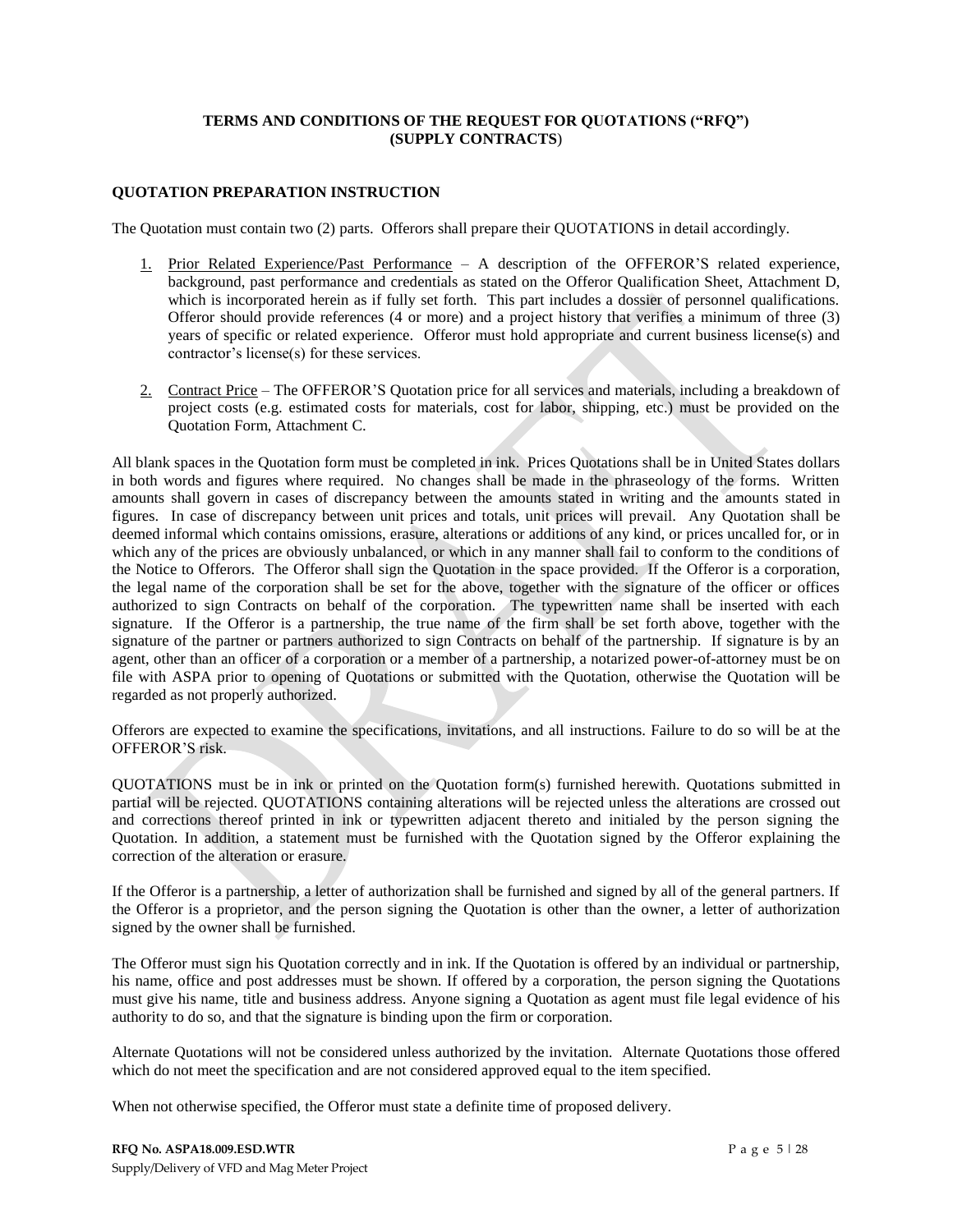## **TERMS AND CONDITIONS OF THE REQUEST FOR QUOTATIONS ("RFQ") (SUPPLY CONTRACTS**)

### **QUOTATION PREPARATION INSTRUCTION**

The Quotation must contain two (2) parts. Offerors shall prepare their QUOTATIONS in detail accordingly.

- 1. Prior Related Experience/Past Performance A description of the OFFEROR'S related experience, background, past performance and credentials as stated on the Offeror Qualification Sheet, Attachment D, which is incorporated herein as if fully set forth. This part includes a dossier of personnel qualifications. Offeror should provide references (4 or more) and a project history that verifies a minimum of three (3) years of specific or related experience. Offeror must hold appropriate and current business license(s) and contractor's license(s) for these services.
- 2. Contract Price The OFFEROR'S Quotation price for all services and materials, including a breakdown of project costs (e.g. estimated costs for materials, cost for labor, shipping, etc.) must be provided on the Quotation Form, Attachment C.

All blank spaces in the Quotation form must be completed in ink. Prices Quotations shall be in United States dollars in both words and figures where required. No changes shall be made in the phraseology of the forms. Written amounts shall govern in cases of discrepancy between the amounts stated in writing and the amounts stated in figures. In case of discrepancy between unit prices and totals, unit prices will prevail. Any Quotation shall be deemed informal which contains omissions, erasure, alterations or additions of any kind, or prices uncalled for, or in which any of the prices are obviously unbalanced, or which in any manner shall fail to conform to the conditions of the Notice to Offerors. The Offeror shall sign the Quotation in the space provided. If the Offeror is a corporation, the legal name of the corporation shall be set for the above, together with the signature of the officer or offices authorized to sign Contracts on behalf of the corporation. The typewritten name shall be inserted with each signature. If the Offeror is a partnership, the true name of the firm shall be set forth above, together with the signature of the partner or partners authorized to sign Contracts on behalf of the partnership. If signature is by an agent, other than an officer of a corporation or a member of a partnership, a notarized power-of-attorney must be on file with ASPA prior to opening of Quotations or submitted with the Quotation, otherwise the Quotation will be regarded as not properly authorized.

Offerors are expected to examine the specifications, invitations, and all instructions. Failure to do so will be at the OFFEROR'S risk.

QUOTATIONS must be in ink or printed on the Quotation form(s) furnished herewith. Quotations submitted in partial will be rejected. QUOTATIONS containing alterations will be rejected unless the alterations are crossed out and corrections thereof printed in ink or typewritten adjacent thereto and initialed by the person signing the Quotation. In addition, a statement must be furnished with the Quotation signed by the Offeror explaining the correction of the alteration or erasure.

If the Offeror is a partnership, a letter of authorization shall be furnished and signed by all of the general partners. If the Offeror is a proprietor, and the person signing the Quotation is other than the owner, a letter of authorization signed by the owner shall be furnished.

The Offeror must sign his Quotation correctly and in ink. If the Quotation is offered by an individual or partnership, his name, office and post addresses must be shown. If offered by a corporation, the person signing the Quotations must give his name, title and business address. Anyone signing a Quotation as agent must file legal evidence of his authority to do so, and that the signature is binding upon the firm or corporation.

Alternate Quotations will not be considered unless authorized by the invitation. Alternate Quotations those offered which do not meet the specification and are not considered approved equal to the item specified.

When not otherwise specified, the Offeror must state a definite time of proposed delivery.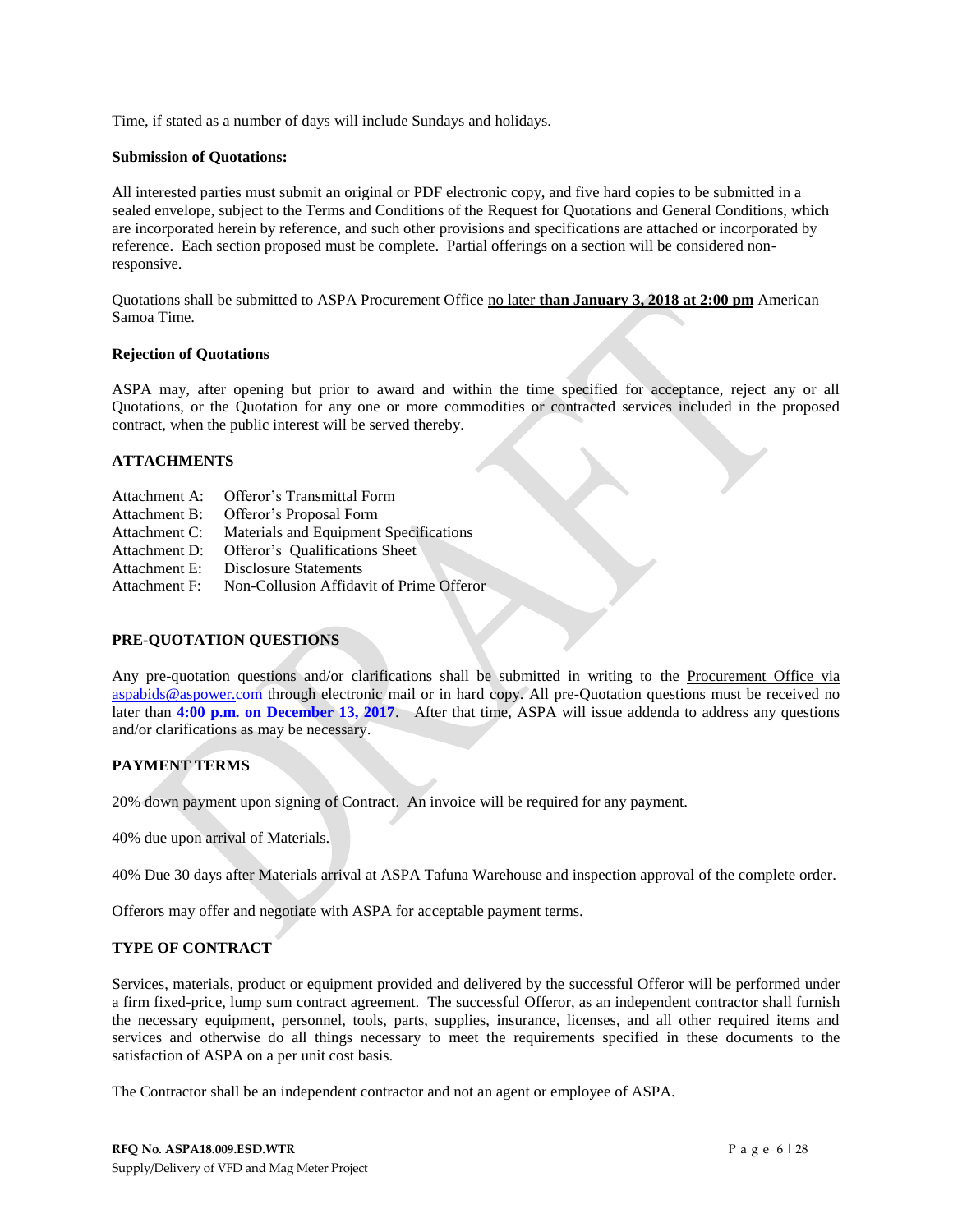Time, if stated as a number of days will include Sundays and holidays.

#### **Submission of Quotations:**

All interested parties must submit an original or PDF electronic copy, and five hard copies to be submitted in a sealed envelope, subject to the Terms and Conditions of the Request for Quotations and General Conditions, which are incorporated herein by reference, and such other provisions and specifications are attached or incorporated by reference. Each section proposed must be complete. Partial offerings on a section will be considered nonresponsive.

Quotations shall be submitted to ASPA Procurement Office no later **than January 3, 2018 at 2:00 pm** American Samoa Time.

#### **Rejection of Quotations**

ASPA may, after opening but prior to award and within the time specified for acceptance, reject any or all Quotations, or the Quotation for any one or more commodities or contracted services included in the proposed contract, when the public interest will be served thereby.

## **ATTACHMENTS**

- Attachment A: Offeror's Transmittal Form
- Attachment B: Offeror's Proposal Form
- Attachment C: Materials and Equipment Specifications
- Attachment D: Offeror's Qualifications Sheet
- Attachment E: Disclosure Statements
- Attachment F: Non-Collusion Affidavit of Prime Offeror

## **PRE-QUOTATION QUESTIONS**

Any pre-quotation questions and/or clarifications shall be submitted in writing to the Procurement Office via [aspabids@aspower.com](mailto:aspabids@aspower.com) through electronic mail or in hard copy. All pre-Quotation questions must be received no later than **4:00 p.m. on December 13, 2017**. After that time, ASPA will issue addenda to address any questions and/or clarifications as may be necessary.

## **PAYMENT TERMS**

20% down payment upon signing of Contract. An invoice will be required for any payment.

40% due upon arrival of Materials.

40% Due 30 days after Materials arrival at ASPA Tafuna Warehouse and inspection approval of the complete order.

Offerors may offer and negotiate with ASPA for acceptable payment terms.

## **TYPE OF CONTRACT**

Services, materials, product or equipment provided and delivered by the successful Offeror will be performed under a firm fixed-price, lump sum contract agreement. The successful Offeror, as an independent contractor shall furnish the necessary equipment, personnel, tools, parts, supplies, insurance, licenses, and all other required items and services and otherwise do all things necessary to meet the requirements specified in these documents to the satisfaction of ASPA on a per unit cost basis.

The Contractor shall be an independent contractor and not an agent or employee of ASPA.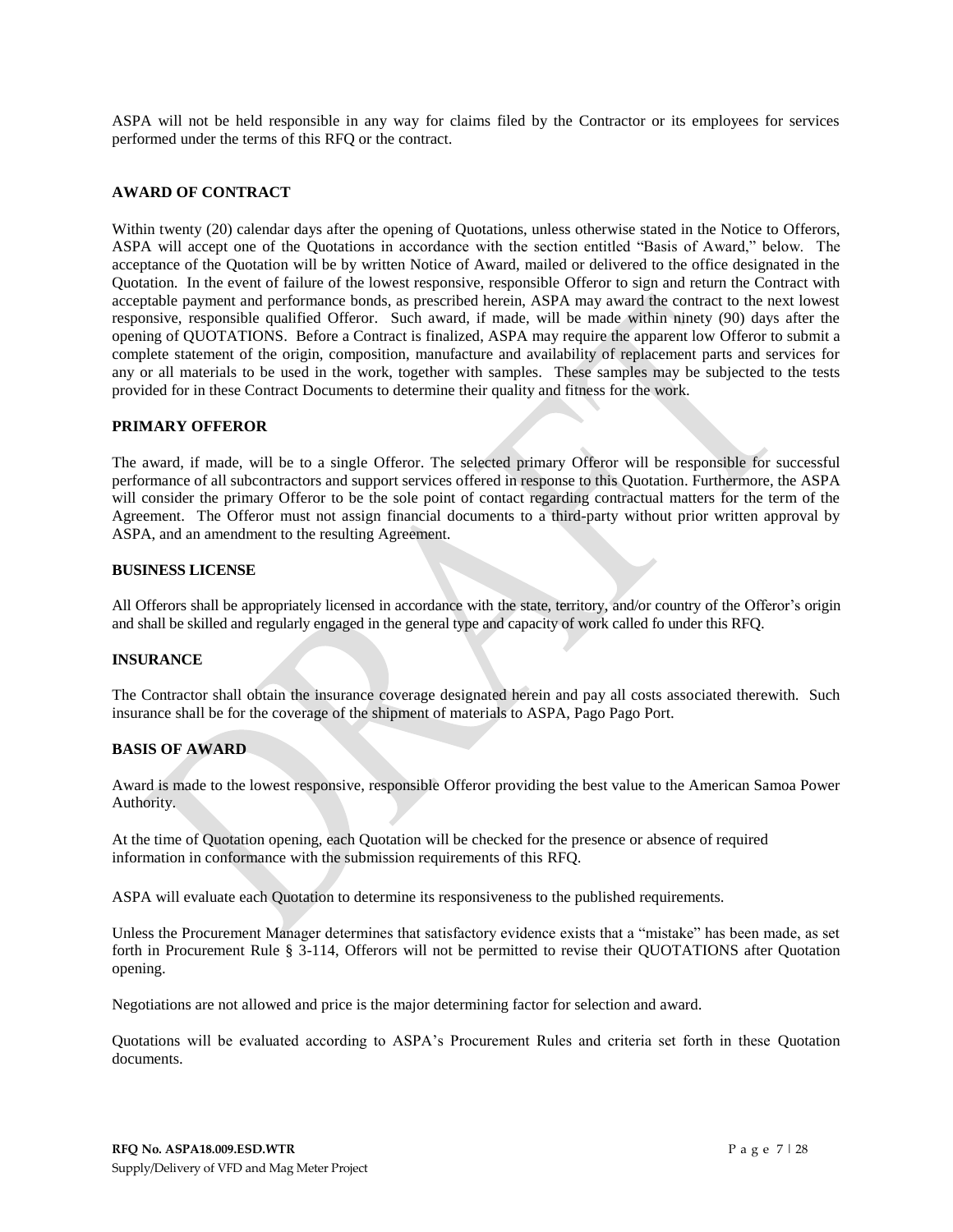ASPA will not be held responsible in any way for claims filed by the Contractor or its employees for services performed under the terms of this RFQ or the contract.

#### **AWARD OF CONTRACT**

Within twenty (20) calendar days after the opening of Quotations, unless otherwise stated in the Notice to Offerors, ASPA will accept one of the Quotations in accordance with the section entitled "Basis of Award," below. The acceptance of the Quotation will be by written Notice of Award, mailed or delivered to the office designated in the Quotation. In the event of failure of the lowest responsive, responsible Offeror to sign and return the Contract with acceptable payment and performance bonds, as prescribed herein, ASPA may award the contract to the next lowest responsive, responsible qualified Offeror. Such award, if made, will be made within ninety (90) days after the opening of QUOTATIONS. Before a Contract is finalized, ASPA may require the apparent low Offeror to submit a complete statement of the origin, composition, manufacture and availability of replacement parts and services for any or all materials to be used in the work, together with samples. These samples may be subjected to the tests provided for in these Contract Documents to determine their quality and fitness for the work.

#### **PRIMARY OFFEROR**

The award, if made, will be to a single Offeror. The selected primary Offeror will be responsible for successful performance of all subcontractors and support services offered in response to this Quotation. Furthermore, the ASPA will consider the primary Offeror to be the sole point of contact regarding contractual matters for the term of the Agreement. The Offeror must not assign financial documents to a third-party without prior written approval by ASPA, and an amendment to the resulting Agreement.

#### **BUSINESS LICENSE**

All Offerors shall be appropriately licensed in accordance with the state, territory, and/or country of the Offeror's origin and shall be skilled and regularly engaged in the general type and capacity of work called fo under this RFQ.

#### **INSURANCE**

The Contractor shall obtain the insurance coverage designated herein and pay all costs associated therewith. Such insurance shall be for the coverage of the shipment of materials to ASPA, Pago Pago Port.

#### **BASIS OF AWARD**

Award is made to the lowest responsive, responsible Offeror providing the best value to the American Samoa Power Authority.

At the time of Quotation opening, each Quotation will be checked for the presence or absence of required information in conformance with the submission requirements of this RFQ.

ASPA will evaluate each Quotation to determine its responsiveness to the published requirements.

Unless the Procurement Manager determines that satisfactory evidence exists that a "mistake" has been made, as set forth in Procurement Rule § 3-114, Offerors will not be permitted to revise their QUOTATIONS after Quotation opening.

Negotiations are not allowed and price is the major determining factor for selection and award.

Quotations will be evaluated according to ASPA's Procurement Rules and criteria set forth in these Quotation documents.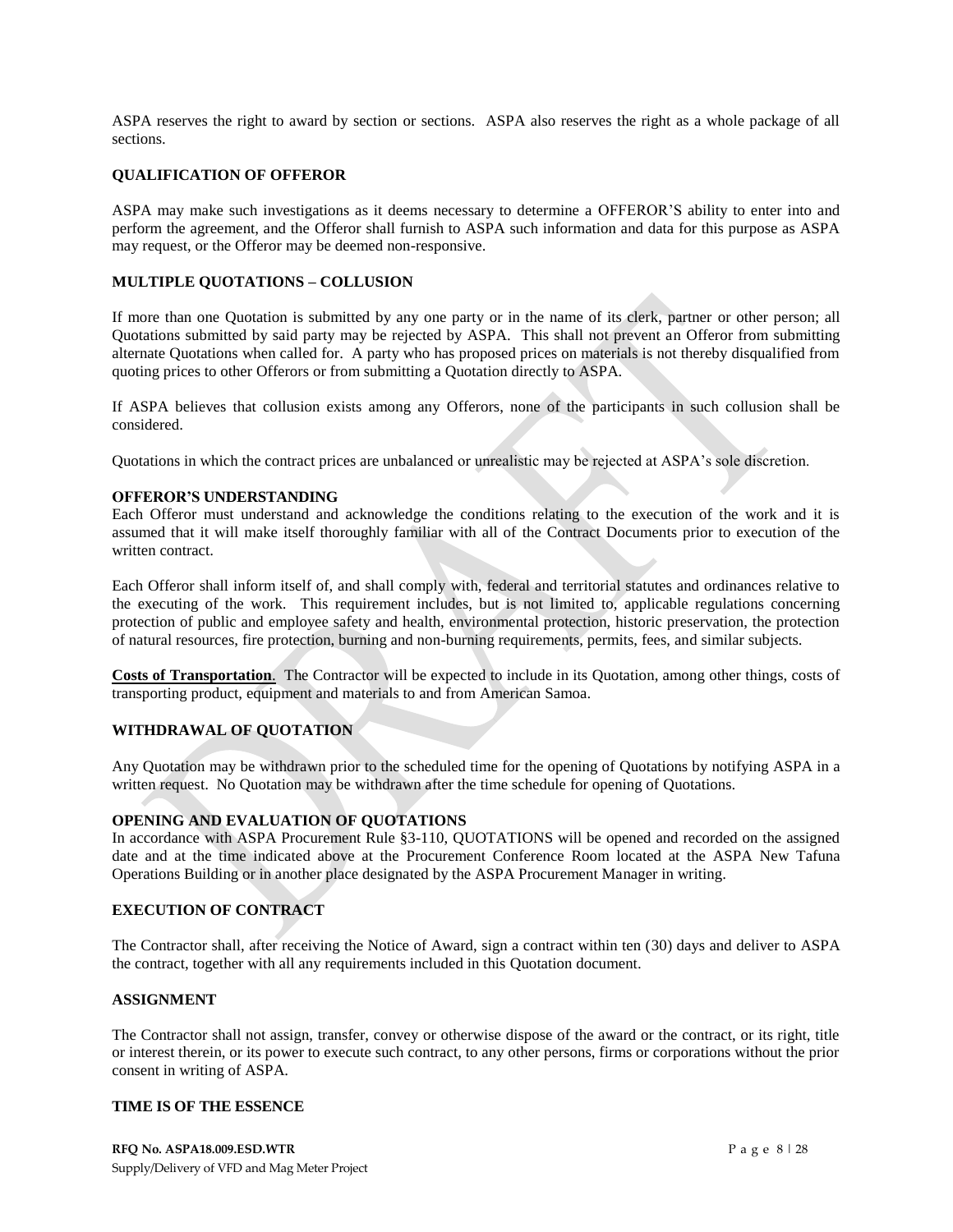ASPA reserves the right to award by section or sections. ASPA also reserves the right as a whole package of all sections.

### **QUALIFICATION OF OFFEROR**

ASPA may make such investigations as it deems necessary to determine a OFFEROR'S ability to enter into and perform the agreement, and the Offeror shall furnish to ASPA such information and data for this purpose as ASPA may request, or the Offeror may be deemed non-responsive.

#### **MULTIPLE QUOTATIONS – COLLUSION**

If more than one Quotation is submitted by any one party or in the name of its clerk, partner or other person; all Quotations submitted by said party may be rejected by ASPA. This shall not prevent an Offeror from submitting alternate Quotations when called for. A party who has proposed prices on materials is not thereby disqualified from quoting prices to other Offerors or from submitting a Quotation directly to ASPA.

If ASPA believes that collusion exists among any Offerors, none of the participants in such collusion shall be considered.

Quotations in which the contract prices are unbalanced or unrealistic may be rejected at ASPA's sole discretion.

#### **OFFEROR'S UNDERSTANDING**

Each Offeror must understand and acknowledge the conditions relating to the execution of the work and it is assumed that it will make itself thoroughly familiar with all of the Contract Documents prior to execution of the written contract.

Each Offeror shall inform itself of, and shall comply with, federal and territorial statutes and ordinances relative to the executing of the work. This requirement includes, but is not limited to, applicable regulations concerning protection of public and employee safety and health, environmental protection, historic preservation, the protection of natural resources, fire protection, burning and non-burning requirements, permits, fees, and similar subjects.

**Costs of Transportation**. The Contractor will be expected to include in its Quotation, among other things, costs of transporting product, equipment and materials to and from American Samoa.

#### **WITHDRAWAL OF QUOTATION**

Any Quotation may be withdrawn prior to the scheduled time for the opening of Quotations by notifying ASPA in a written request. No Quotation may be withdrawn after the time schedule for opening of Quotations.

#### **OPENING AND EVALUATION OF QUOTATIONS**

In accordance with ASPA Procurement Rule §3-110, QUOTATIONS will be opened and recorded on the assigned date and at the time indicated above at the Procurement Conference Room located at the ASPA New Tafuna Operations Building or in another place designated by the ASPA Procurement Manager in writing.

## **EXECUTION OF CONTRACT**

The Contractor shall, after receiving the Notice of Award, sign a contract within ten (30) days and deliver to ASPA the contract, together with all any requirements included in this Quotation document.

#### **ASSIGNMENT**

The Contractor shall not assign, transfer, convey or otherwise dispose of the award or the contract, or its right, title or interest therein, or its power to execute such contract, to any other persons, firms or corporations without the prior consent in writing of ASPA.

#### **TIME IS OF THE ESSENCE**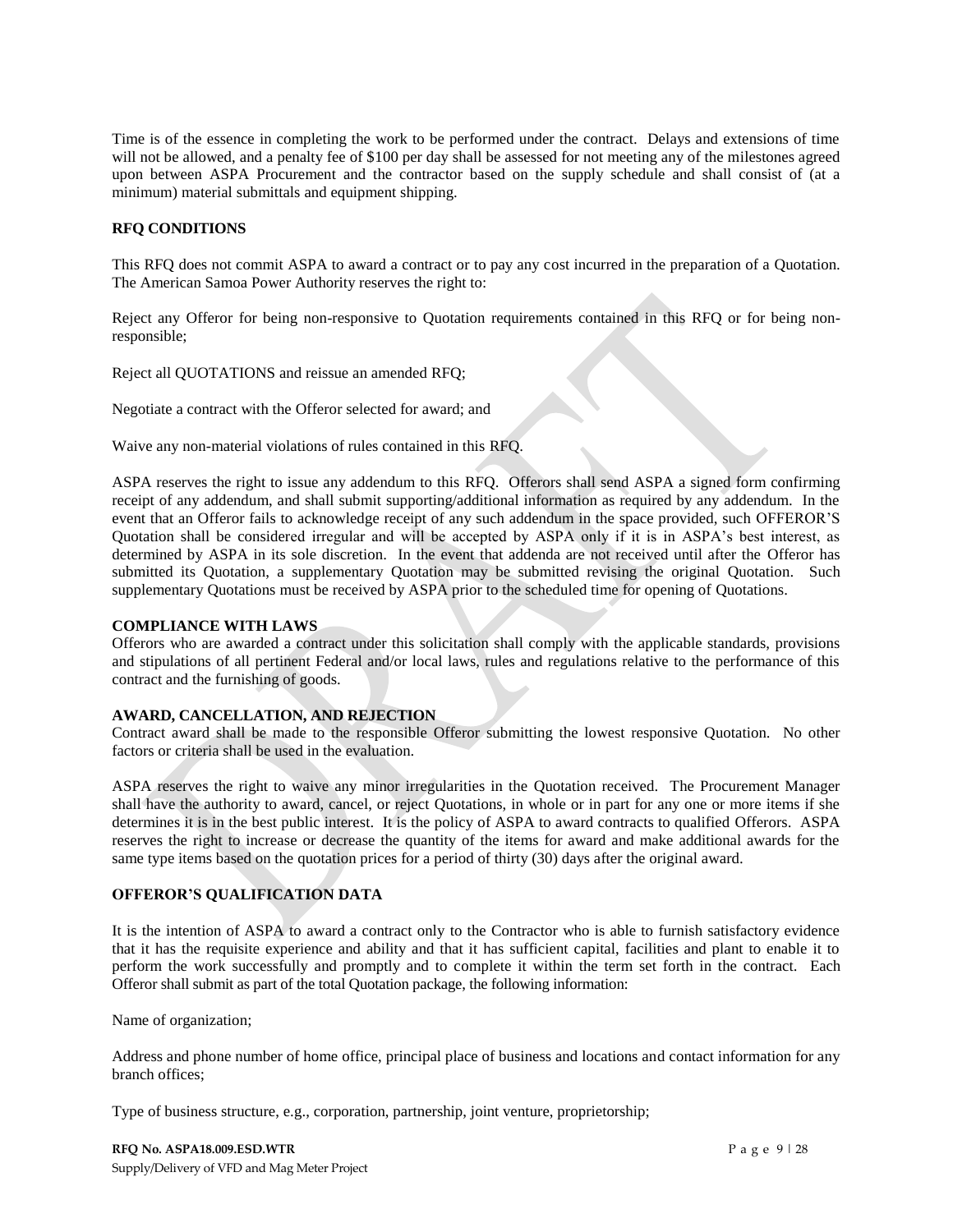Time is of the essence in completing the work to be performed under the contract. Delays and extensions of time will not be allowed, and a penalty fee of \$100 per day shall be assessed for not meeting any of the milestones agreed upon between ASPA Procurement and the contractor based on the supply schedule and shall consist of (at a minimum) material submittals and equipment shipping.

#### **RFQ CONDITIONS**

This RFQ does not commit ASPA to award a contract or to pay any cost incurred in the preparation of a Quotation. The American Samoa Power Authority reserves the right to:

Reject any Offeror for being non-responsive to Quotation requirements contained in this RFQ or for being nonresponsible;

Reject all QUOTATIONS and reissue an amended RFQ;

Negotiate a contract with the Offeror selected for award; and

Waive any non-material violations of rules contained in this RFQ.

ASPA reserves the right to issue any addendum to this RFQ. Offerors shall send ASPA a signed form confirming receipt of any addendum, and shall submit supporting/additional information as required by any addendum. In the event that an Offeror fails to acknowledge receipt of any such addendum in the space provided, such OFFEROR'S Quotation shall be considered irregular and will be accepted by ASPA only if it is in ASPA's best interest, as determined by ASPA in its sole discretion. In the event that addenda are not received until after the Offeror has submitted its Quotation, a supplementary Quotation may be submitted revising the original Quotation. Such supplementary Quotations must be received by ASPA prior to the scheduled time for opening of Quotations.

#### **COMPLIANCE WITH LAWS**

Offerors who are awarded a contract under this solicitation shall comply with the applicable standards, provisions and stipulations of all pertinent Federal and/or local laws, rules and regulations relative to the performance of this contract and the furnishing of goods.

#### **AWARD, CANCELLATION, AND REJECTION**

Contract award shall be made to the responsible Offeror submitting the lowest responsive Quotation. No other factors or criteria shall be used in the evaluation.

ASPA reserves the right to waive any minor irregularities in the Quotation received. The Procurement Manager shall have the authority to award, cancel, or reject Quotations, in whole or in part for any one or more items if she determines it is in the best public interest. It is the policy of ASPA to award contracts to qualified Offerors. ASPA reserves the right to increase or decrease the quantity of the items for award and make additional awards for the same type items based on the quotation prices for a period of thirty (30) days after the original award.

## **OFFEROR'S QUALIFICATION DATA**

It is the intention of ASPA to award a contract only to the Contractor who is able to furnish satisfactory evidence that it has the requisite experience and ability and that it has sufficient capital, facilities and plant to enable it to perform the work successfully and promptly and to complete it within the term set forth in the contract. Each Offeror shall submit as part of the total Quotation package, the following information:

Name of organization;

Address and phone number of home office, principal place of business and locations and contact information for any branch offices;

Type of business structure, e.g., corporation, partnership, joint venture, proprietorship;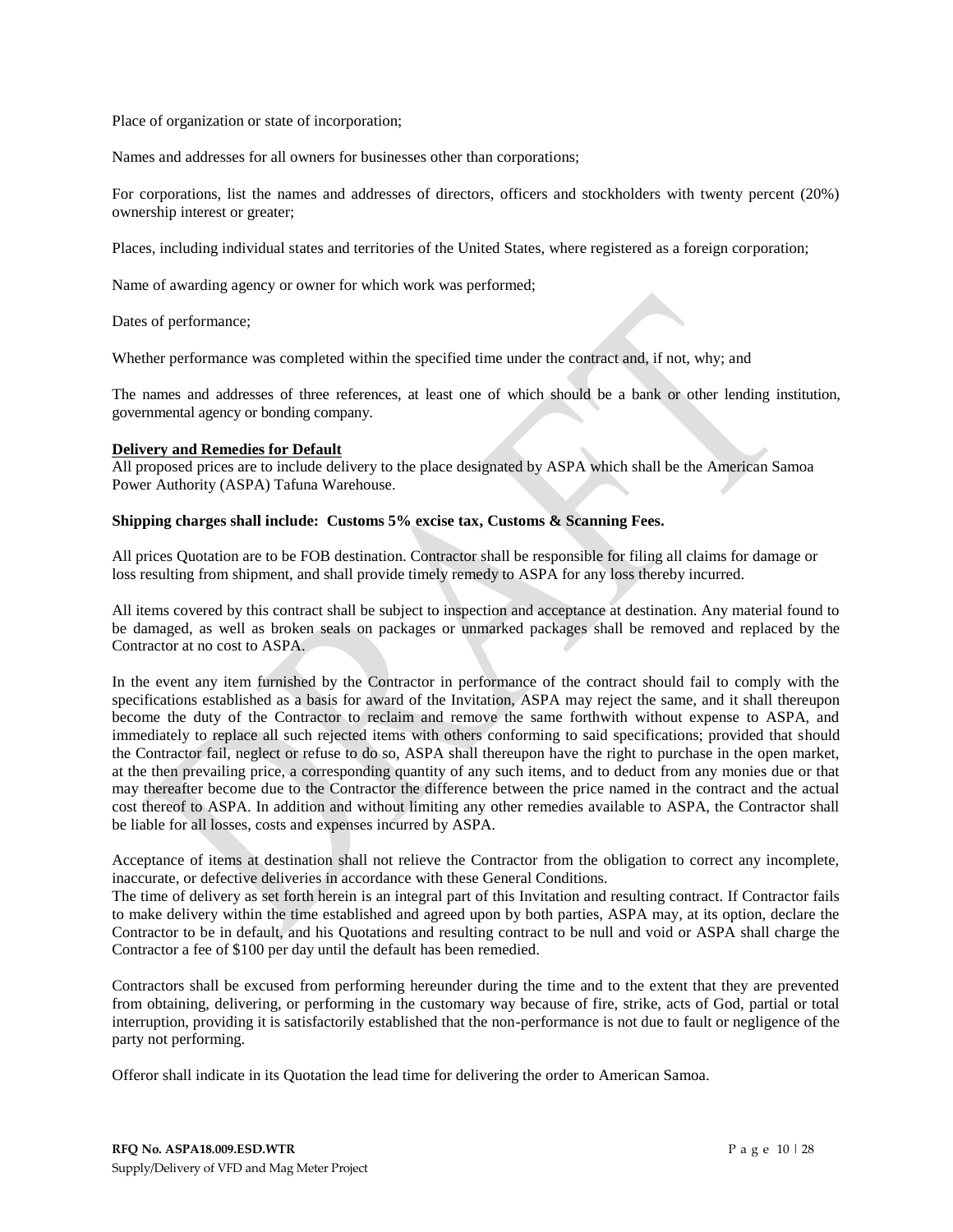Place of organization or state of incorporation;

Names and addresses for all owners for businesses other than corporations;

For corporations, list the names and addresses of directors, officers and stockholders with twenty percent (20%) ownership interest or greater;

Places, including individual states and territories of the United States, where registered as a foreign corporation;

Name of awarding agency or owner for which work was performed;

Dates of performance;

Whether performance was completed within the specified time under the contract and, if not, why; and

The names and addresses of three references, at least one of which should be a bank or other lending institution, governmental agency or bonding company.

#### **Delivery and Remedies for Default**

All proposed prices are to include delivery to the place designated by ASPA which shall be the American Samoa Power Authority (ASPA) Tafuna Warehouse.

#### **Shipping charges shall include: Customs 5% excise tax, Customs & Scanning Fees.**

All prices Quotation are to be FOB destination. Contractor shall be responsible for filing all claims for damage or loss resulting from shipment, and shall provide timely remedy to ASPA for any loss thereby incurred.

All items covered by this contract shall be subject to inspection and acceptance at destination. Any material found to be damaged, as well as broken seals on packages or unmarked packages shall be removed and replaced by the Contractor at no cost to ASPA.

In the event any item furnished by the Contractor in performance of the contract should fail to comply with the specifications established as a basis for award of the Invitation, ASPA may reject the same, and it shall thereupon become the duty of the Contractor to reclaim and remove the same forthwith without expense to ASPA, and immediately to replace all such rejected items with others conforming to said specifications; provided that should the Contractor fail, neglect or refuse to do so, ASPA shall thereupon have the right to purchase in the open market, at the then prevailing price, a corresponding quantity of any such items, and to deduct from any monies due or that may thereafter become due to the Contractor the difference between the price named in the contract and the actual cost thereof to ASPA. In addition and without limiting any other remedies available to ASPA, the Contractor shall be liable for all losses, costs and expenses incurred by ASPA.

Acceptance of items at destination shall not relieve the Contractor from the obligation to correct any incomplete, inaccurate, or defective deliveries in accordance with these General Conditions.

The time of delivery as set forth herein is an integral part of this Invitation and resulting contract. If Contractor fails to make delivery within the time established and agreed upon by both parties, ASPA may, at its option, declare the Contractor to be in default, and his Quotations and resulting contract to be null and void or ASPA shall charge the Contractor a fee of \$100 per day until the default has been remedied.

Contractors shall be excused from performing hereunder during the time and to the extent that they are prevented from obtaining, delivering, or performing in the customary way because of fire, strike, acts of God, partial or total interruption, providing it is satisfactorily established that the non-performance is not due to fault or negligence of the party not performing.

Offeror shall indicate in its Quotation the lead time for delivering the order to American Samoa.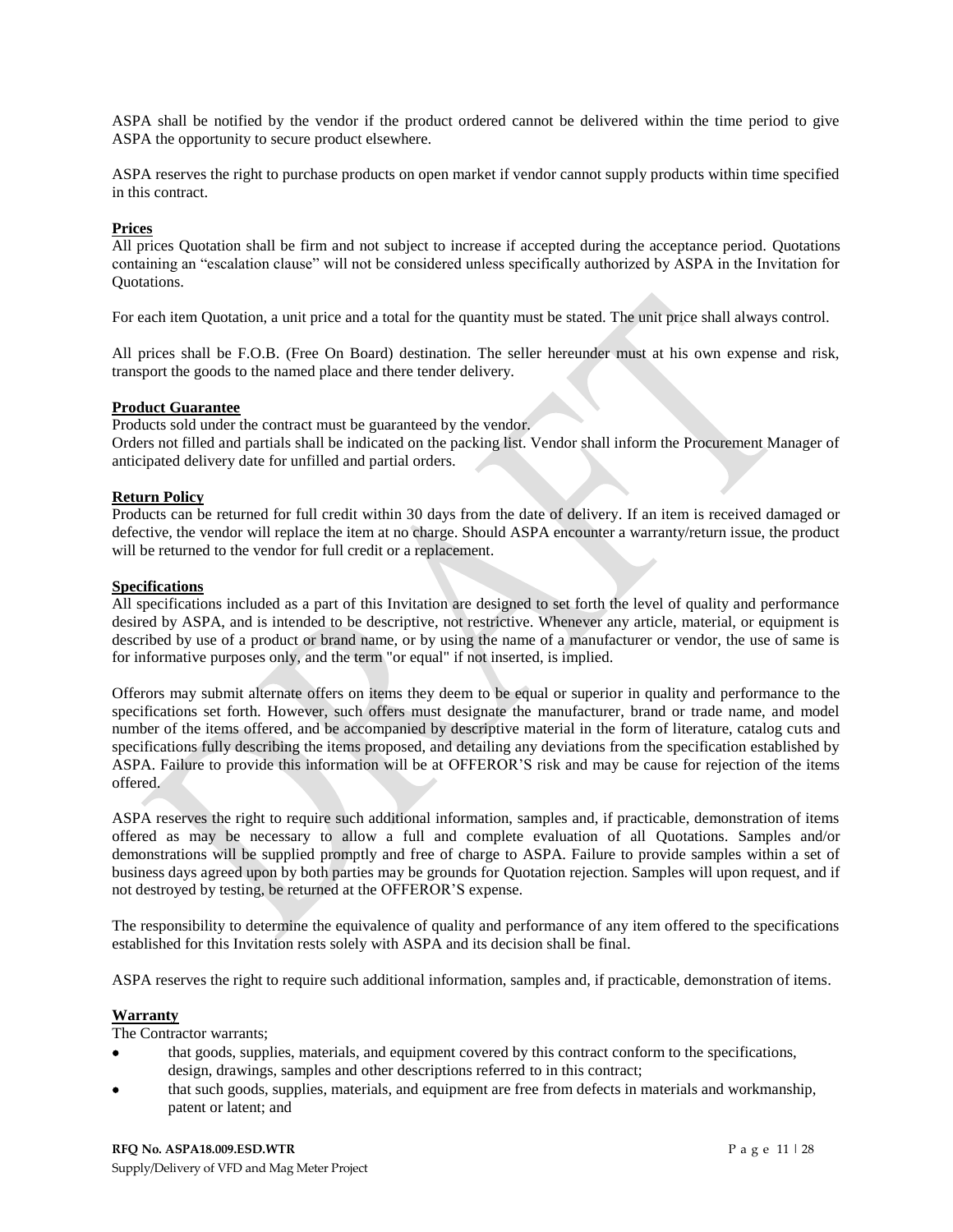ASPA shall be notified by the vendor if the product ordered cannot be delivered within the time period to give ASPA the opportunity to secure product elsewhere.

ASPA reserves the right to purchase products on open market if vendor cannot supply products within time specified in this contract.

#### **Prices**

All prices Quotation shall be firm and not subject to increase if accepted during the acceptance period. Quotations containing an "escalation clause" will not be considered unless specifically authorized by ASPA in the Invitation for Quotations.

For each item Quotation, a unit price and a total for the quantity must be stated. The unit price shall always control.

All prices shall be F.O.B. (Free On Board) destination. The seller hereunder must at his own expense and risk, transport the goods to the named place and there tender delivery.

#### **Product Guarantee**

Products sold under the contract must be guaranteed by the vendor.

Orders not filled and partials shall be indicated on the packing list. Vendor shall inform the Procurement Manager of anticipated delivery date for unfilled and partial orders.

## **Return Policy**

Products can be returned for full credit within 30 days from the date of delivery. If an item is received damaged or defective, the vendor will replace the item at no charge. Should ASPA encounter a warranty/return issue, the product will be returned to the vendor for full credit or a replacement.

#### **Specifications**

All specifications included as a part of this Invitation are designed to set forth the level of quality and performance desired by ASPA, and is intended to be descriptive, not restrictive. Whenever any article, material, or equipment is described by use of a product or brand name, or by using the name of a manufacturer or vendor, the use of same is for informative purposes only, and the term "or equal" if not inserted, is implied.

Offerors may submit alternate offers on items they deem to be equal or superior in quality and performance to the specifications set forth. However, such offers must designate the manufacturer, brand or trade name, and model number of the items offered, and be accompanied by descriptive material in the form of literature, catalog cuts and specifications fully describing the items proposed, and detailing any deviations from the specification established by ASPA. Failure to provide this information will be at OFFEROR'S risk and may be cause for rejection of the items offered.

ASPA reserves the right to require such additional information, samples and, if practicable, demonstration of items offered as may be necessary to allow a full and complete evaluation of all Quotations. Samples and/or demonstrations will be supplied promptly and free of charge to ASPA. Failure to provide samples within a set of business days agreed upon by both parties may be grounds for Quotation rejection. Samples will upon request, and if not destroyed by testing, be returned at the OFFEROR'S expense.

The responsibility to determine the equivalence of quality and performance of any item offered to the specifications established for this Invitation rests solely with ASPA and its decision shall be final.

ASPA reserves the right to require such additional information, samples and, if practicable, demonstration of items.

## **Warranty**

The Contractor warrants;

- that goods, supplies, materials, and equipment covered by this contract conform to the specifications, design, drawings, samples and other descriptions referred to in this contract;
- that such goods, supplies, materials, and equipment are free from defects in materials and workmanship, patent or latent; and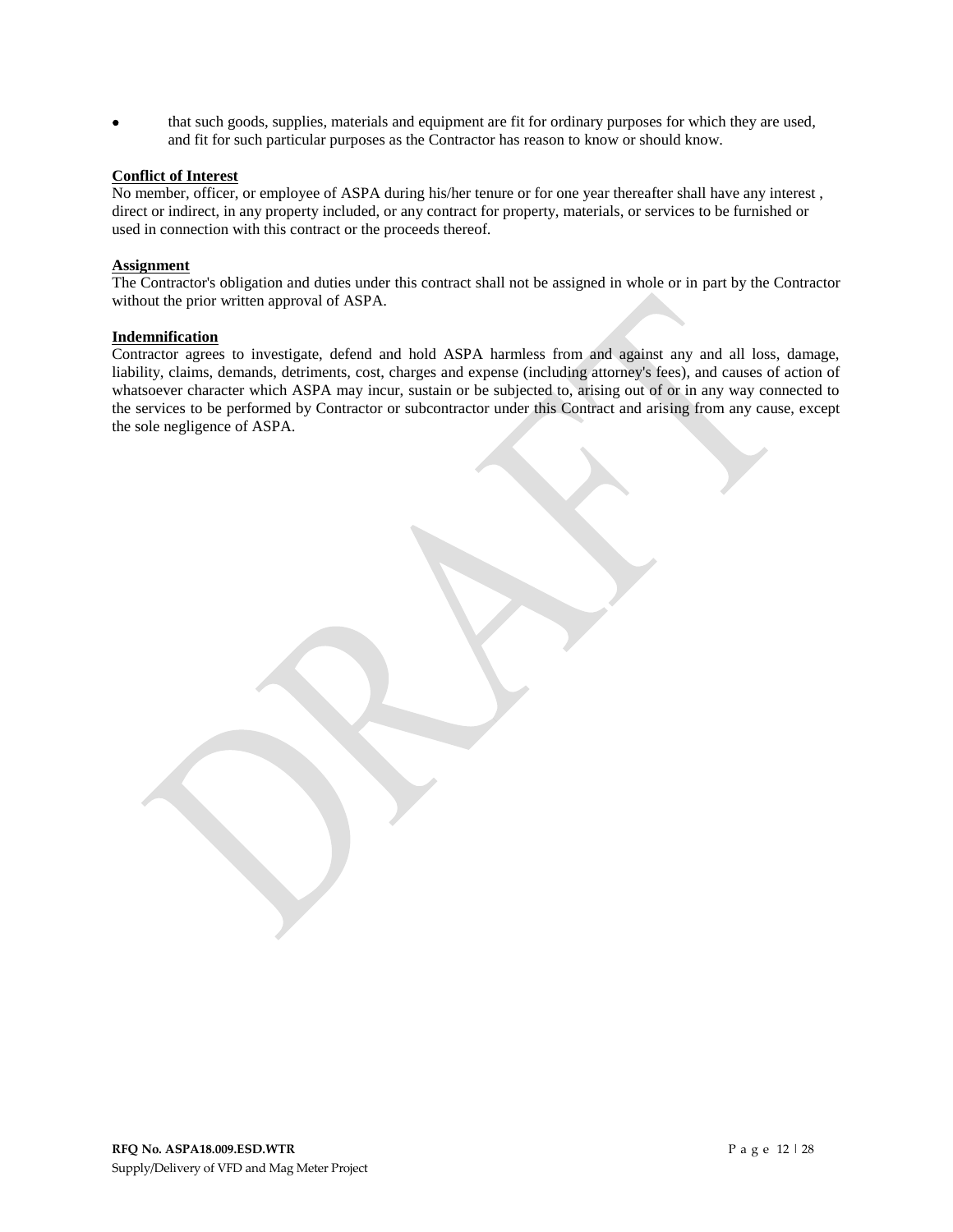that such goods, supplies, materials and equipment are fit for ordinary purposes for which they are used, and fit for such particular purposes as the Contractor has reason to know or should know.

## **Conflict of Interest**

No member, officer, or employee of ASPA during his/her tenure or for one year thereafter shall have any interest , direct or indirect, in any property included, or any contract for property, materials, or services to be furnished or used in connection with this contract or the proceeds thereof.

#### **Assignment**

The Contractor's obligation and duties under this contract shall not be assigned in whole or in part by the Contractor without the prior written approval of ASPA.

#### **Indemnification**

Contractor agrees to investigate, defend and hold ASPA harmless from and against any and all loss, damage, liability, claims, demands, detriments, cost, charges and expense (including attorney's fees), and causes of action of whatsoever character which ASPA may incur, sustain or be subjected to, arising out of or in any way connected to the services to be performed by Contractor or subcontractor under this Contract and arising from any cause, except the sole negligence of ASPA.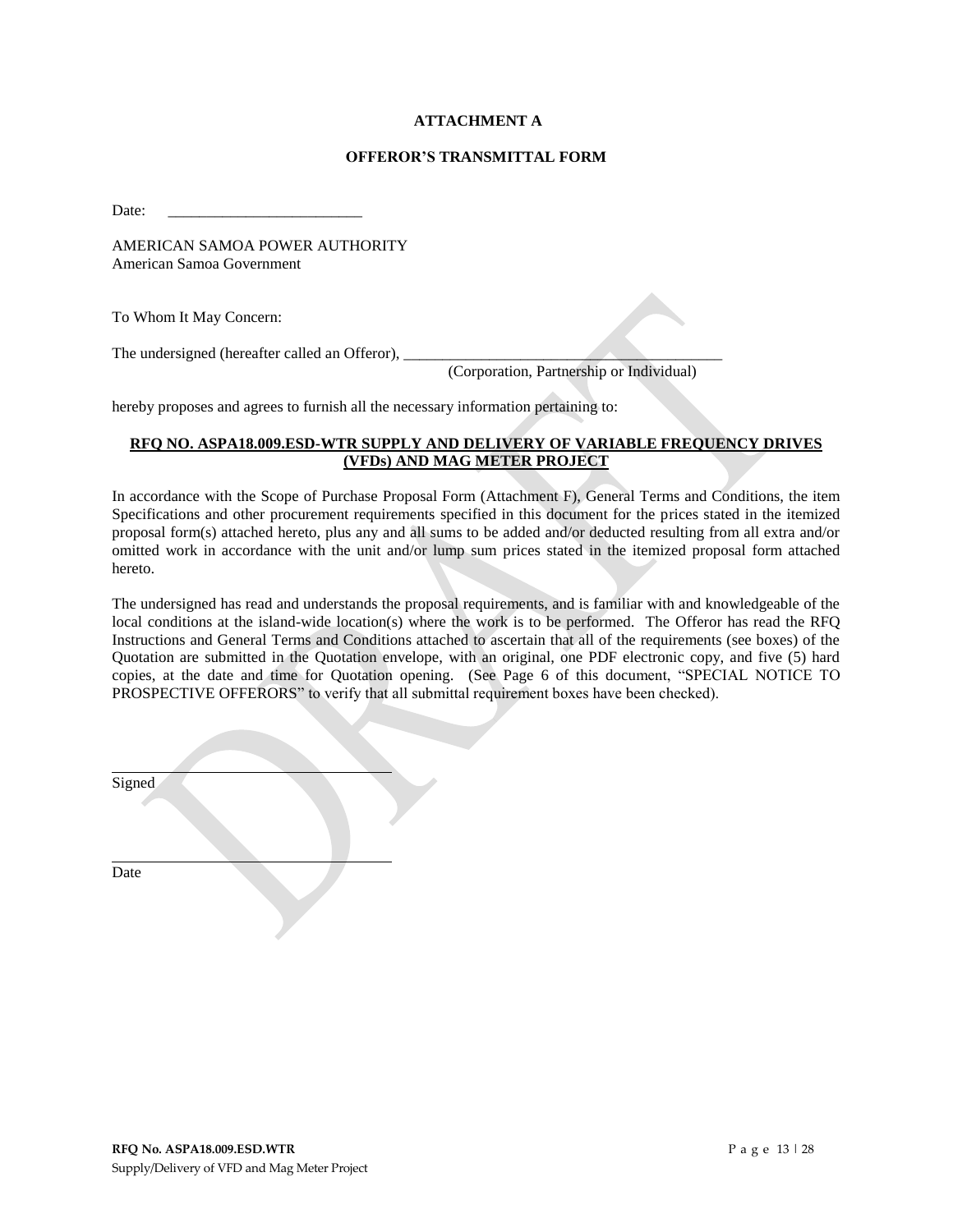## **ATTACHMENT A**

#### **OFFEROR'S TRANSMITTAL FORM**

Date:

AMERICAN SAMOA POWER AUTHORITY American Samoa Government

To Whom It May Concern:

The undersigned (hereafter called an Offeror),

(Corporation, Partnership or Individual)

hereby proposes and agrees to furnish all the necessary information pertaining to:

## **RFQ NO. ASPA18.009.ESD-WTR SUPPLY AND DELIVERY OF VARIABLE FREQUENCY DRIVES (VFDs) AND MAG METER PROJECT**

In accordance with the Scope of Purchase Proposal Form (Attachment F), General Terms and Conditions, the item Specifications and other procurement requirements specified in this document for the prices stated in the itemized proposal form(s) attached hereto, plus any and all sums to be added and/or deducted resulting from all extra and/or omitted work in accordance with the unit and/or lump sum prices stated in the itemized proposal form attached hereto.

The undersigned has read and understands the proposal requirements, and is familiar with and knowledgeable of the local conditions at the island-wide location(s) where the work is to be performed. The Offeror has read the RFQ Instructions and General Terms and Conditions attached to ascertain that all of the requirements (see boxes) of the Quotation are submitted in the Quotation envelope, with an original, one PDF electronic copy, and five (5) hard copies, at the date and time for Quotation opening. (See Page 6 of this document, "SPECIAL NOTICE TO PROSPECTIVE OFFERORS" to verify that all submittal requirement boxes have been checked).

| Signed |  |
|--------|--|
|        |  |
|        |  |
|        |  |

Date

**RFQ No. ASPA18.009.ESD.WTR** P a g e 13 | 28 Supply/Delivery of VFD and Mag Meter Project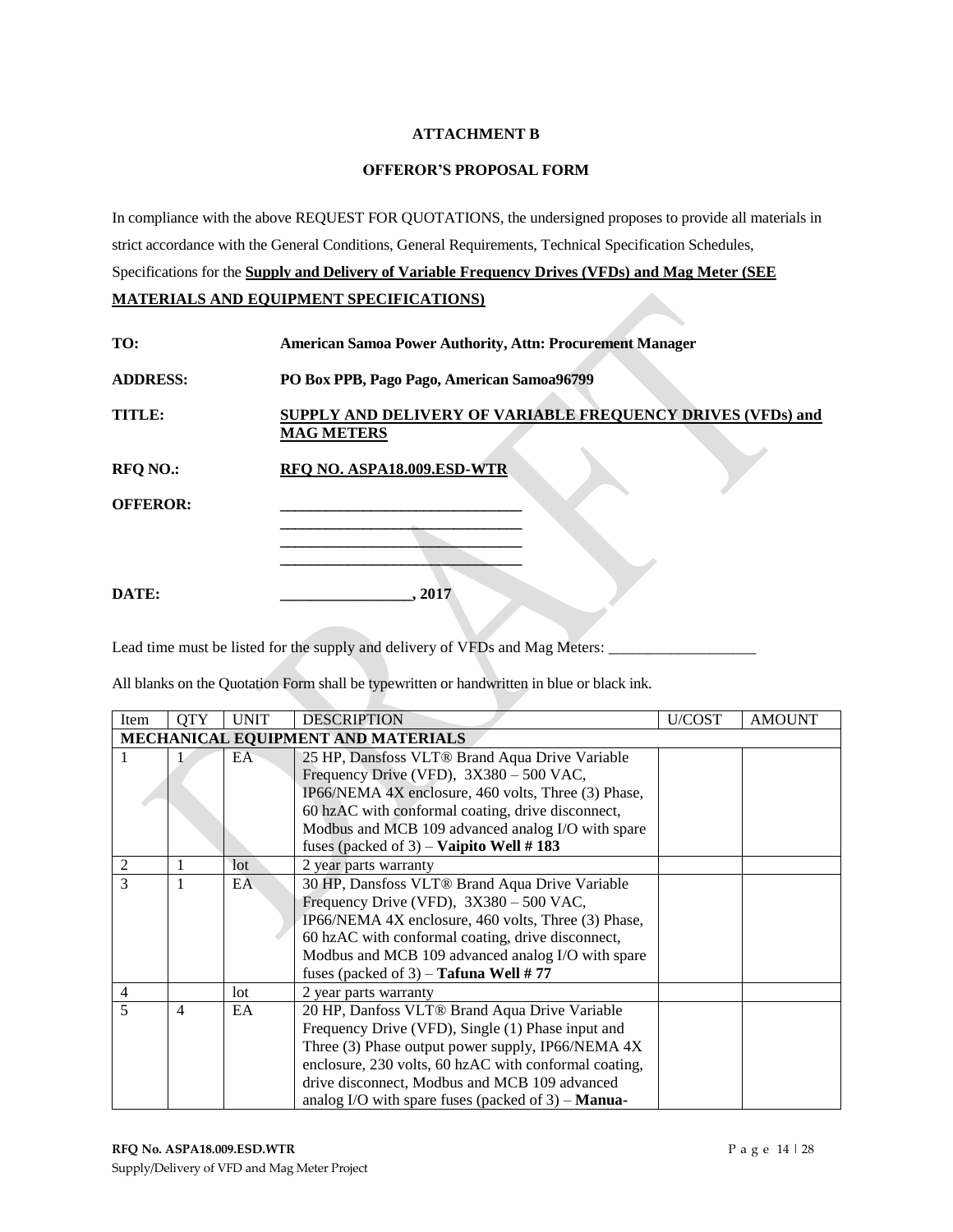## **ATTACHMENT B**

#### **OFFEROR'S PROPOSAL FORM**

In compliance with the above REQUEST FOR QUOTATIONS, the undersigned proposes to provide all materials in strict accordance with the General Conditions, General Requirements, Technical Specification Schedules, Specifications for the **Supply and Delivery of Variable Frequency Drives (VFDs) and Mag Meter (SEE MATERIALS AND EQUIPMENT SPECIFICATIONS)** 

|  | MATERIALS AND EQUIFMENT SFECIFICATIONS! |  |
|--|-----------------------------------------|--|
|  |                                         |  |
|  |                                         |  |

| TO:             | <b>American Samoa Power Authority, Attn: Procurement Manager</b>                 |  |  |
|-----------------|----------------------------------------------------------------------------------|--|--|
| <b>ADDRESS:</b> | PO Box PPB, Pago Pago, American Samoa96799                                       |  |  |
| TITLE:          | SUPPLY AND DELIVERY OF VARIABLE FREQUENCY DRIVES (VFDs) and<br><b>MAG METERS</b> |  |  |
| <b>RFQ NO.:</b> | RFO NO. ASPA18.009.ESD-WTR                                                       |  |  |
| <b>OFFEROR:</b> |                                                                                  |  |  |
| DATE:           | 2017                                                                             |  |  |

Lead time must be listed for the supply and delivery of VFDs and Mag Meters: \_\_\_\_\_\_\_\_\_\_\_\_\_\_\_\_\_\_\_\_\_\_\_\_\_\_\_\_\_\_\_\_\_

All blanks on the Quotation Form shall be typewritten or handwritten in blue or black ink.

| Item           | <b>OTY</b>                         | <b>UNIT</b> | <b>DESCRIPTION</b>                                           | U/COST | <b>AMOUNT</b> |  |
|----------------|------------------------------------|-------------|--------------------------------------------------------------|--------|---------------|--|
|                | MECHANICAL EQUIPMENT AND MATERIALS |             |                                                              |        |               |  |
|                |                                    | EA          | 25 HP, Dansfoss VLT® Brand Aqua Drive Variable               |        |               |  |
|                |                                    |             | Frequency Drive (VFD), 3X380 - 500 VAC,                      |        |               |  |
|                |                                    |             | IP66/NEMA 4X enclosure, 460 volts, Three (3) Phase,          |        |               |  |
|                |                                    |             | 60 hzAC with conformal coating, drive disconnect,            |        |               |  |
|                |                                    |             | Modbus and MCB 109 advanced analog I/O with spare            |        |               |  |
|                |                                    |             | fuses (packed of 3) – Vaipito Well #183                      |        |               |  |
| $\mathfrak{2}$ |                                    | lot         | 2 year parts warranty                                        |        |               |  |
| 3              |                                    | EA          | 30 HP, Dansfoss VLT® Brand Aqua Drive Variable               |        |               |  |
|                |                                    |             | Frequency Drive (VFD), 3X380 - 500 VAC,                      |        |               |  |
|                |                                    |             | IP66/NEMA 4X enclosure, 460 volts, Three (3) Phase,          |        |               |  |
|                |                                    |             | 60 hzAC with conformal coating, drive disconnect,            |        |               |  |
|                |                                    |             | Modbus and MCB 109 advanced analog I/O with spare            |        |               |  |
|                |                                    |             | fuses (packed of 3) – Tafuna Well #77                        |        |               |  |
| $\overline{4}$ |                                    | lot         | 2 year parts warranty                                        |        |               |  |
| 5              | $\overline{4}$                     | EA          | 20 HP, Danfoss VLT® Brand Aqua Drive Variable                |        |               |  |
|                |                                    |             | Frequency Drive (VFD), Single (1) Phase input and            |        |               |  |
|                |                                    |             | Three (3) Phase output power supply, IP66/NEMA 4X            |        |               |  |
|                |                                    |             | enclosure, 230 volts, 60 hzAC with conformal coating,        |        |               |  |
|                |                                    |             | drive disconnect, Modbus and MCB 109 advanced                |        |               |  |
|                |                                    |             | analog I/O with spare fuses (packed of $3$ ) – <b>Manua-</b> |        |               |  |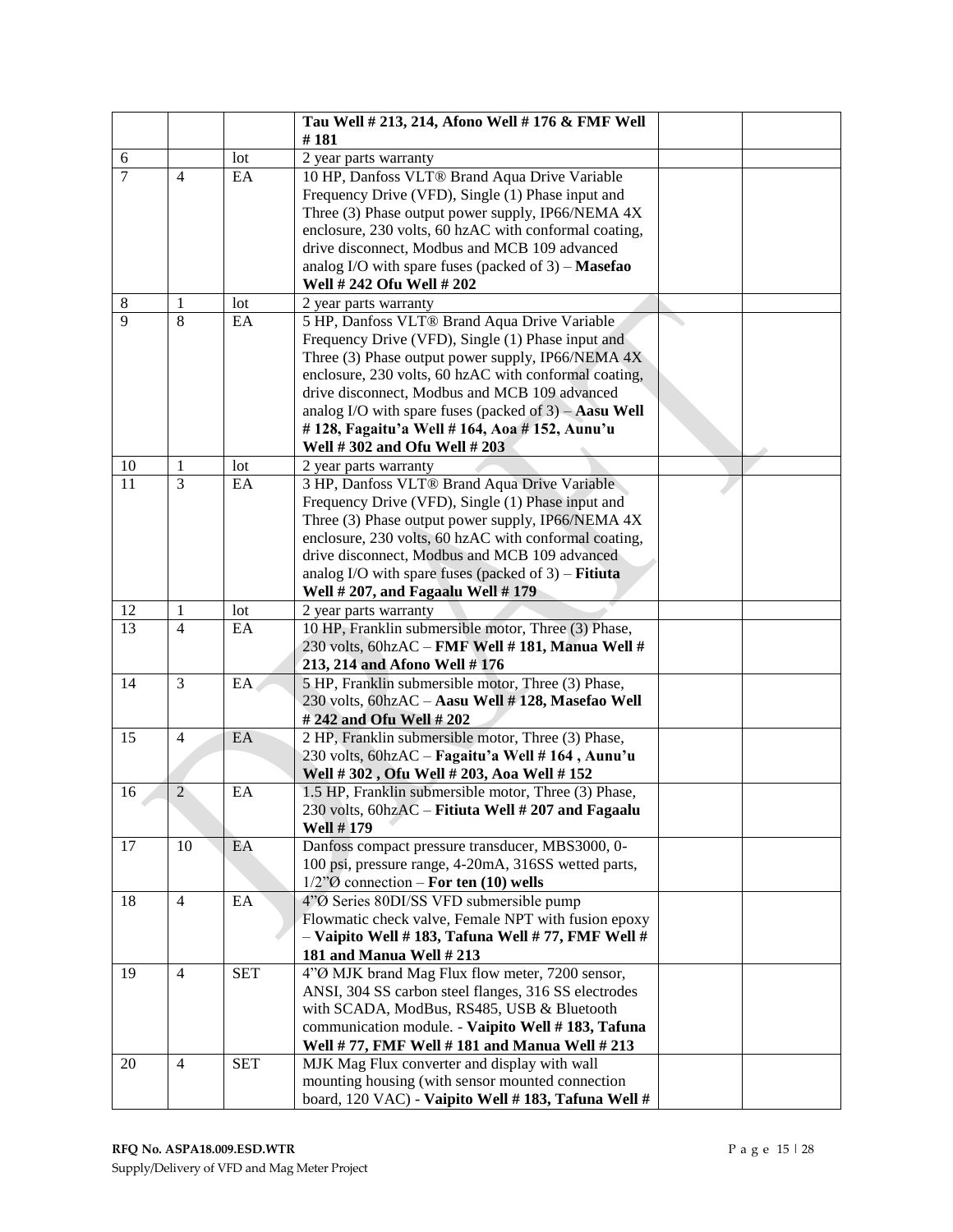|                |                |            | Tau Well # 213, 214, Afono Well # 176 & FMF Well                                                |  |
|----------------|----------------|------------|-------------------------------------------------------------------------------------------------|--|
|                |                |            | #181                                                                                            |  |
| 6              |                | lot        | 2 year parts warranty                                                                           |  |
| $\overline{7}$ | $\overline{4}$ | EA         | 10 HP, Danfoss VLT® Brand Aqua Drive Variable                                                   |  |
|                |                |            | Frequency Drive (VFD), Single (1) Phase input and                                               |  |
|                |                |            | Three (3) Phase output power supply, IP66/NEMA 4X                                               |  |
|                |                |            | enclosure, 230 volts, 60 hzAC with conformal coating,                                           |  |
|                |                |            | drive disconnect, Modbus and MCB 109 advanced                                                   |  |
|                |                |            | analog I/O with spare fuses (packed of $3$ ) – <b>Masefao</b>                                   |  |
|                |                |            | Well # 242 Ofu Well # 202                                                                       |  |
| 8              | 1              | lot        | 2 year parts warranty                                                                           |  |
| 9              | 8              | EA         | 5 HP, Danfoss VLT® Brand Aqua Drive Variable                                                    |  |
|                |                |            | Frequency Drive (VFD), Single (1) Phase input and                                               |  |
|                |                |            | Three (3) Phase output power supply, IP66/NEMA $4X$                                             |  |
|                |                |            | enclosure, 230 volts, 60 hzAC with conformal coating,                                           |  |
|                |                |            | drive disconnect, Modbus and MCB 109 advanced                                                   |  |
|                |                |            | analog I/O with spare fuses (packed of 3) - Aasu Well                                           |  |
|                |                |            | #128, Fagaitu'a Well #164, Aoa #152, Aunu'u                                                     |  |
|                |                |            | Well #302 and Ofu Well #203                                                                     |  |
| 10             | 1              | lot        | 2 year parts warranty                                                                           |  |
| 11             | $\overline{3}$ | EA         | 3 HP, Danfoss VLT® Brand Aqua Drive Variable                                                    |  |
|                |                |            | Frequency Drive (VFD), Single (1) Phase input and                                               |  |
|                |                |            | Three (3) Phase output power supply, IP66/NEMA 4X                                               |  |
|                |                |            | enclosure, 230 volts, 60 hzAC with conformal coating,                                           |  |
|                |                |            | drive disconnect, Modbus and MCB 109 advanced                                                   |  |
|                |                |            |                                                                                                 |  |
|                |                |            | analog I/O with spare fuses (packed of $3$ ) – <b>Fitiuta</b>                                   |  |
|                |                |            | Well # 207, and Fagaalu Well # 179                                                              |  |
| 12             | 1              | lot        | 2 year parts warranty                                                                           |  |
| 13             | $\overline{4}$ | EA         | 10 HP, Franklin submersible motor, Three (3) Phase,                                             |  |
|                |                |            | 230 volts, 60hzAC - FMF Well #181, Manua Well #                                                 |  |
|                | 3              |            | 213, 214 and Afono Well #176                                                                    |  |
| 14             |                | EA.        | 5 HP, Franklin submersible motor, Three (3) Phase,                                              |  |
|                |                |            | 230 volts, 60hzAC - Aasu Well #128, Masefao Well<br># 242 and Ofu Well # 202                    |  |
| 15             | $\overline{4}$ | EA         | 2 HP, Franklin submersible motor, Three (3) Phase,                                              |  |
|                |                |            |                                                                                                 |  |
|                |                |            | 230 volts, 60hzAC - Fagaitu'a Well #164, Aunu'u                                                 |  |
| 16             | $\overline{2}$ | EA         | Well #302, Ofu Well #203, Aoa Well #152<br>1.5 HP, Franklin submersible motor, Three (3) Phase, |  |
|                |                |            | 230 volts, 60hzAC - Fitiuta Well # 207 and Fagaalu                                              |  |
|                |                |            | <b>Well #179</b>                                                                                |  |
| 17             | 10             | EA         | Danfoss compact pressure transducer, MBS3000, 0-                                                |  |
|                |                |            | 100 psi, pressure range, 4-20mA, 316SS wetted parts,                                            |  |
|                |                |            | $1/2"\emptyset$ connection – For ten (10) wells                                                 |  |
| 18             | $\overline{4}$ | EA         | 4"Ø Series 80DI/SS VFD submersible pump                                                         |  |
|                |                |            | Flowmatic check valve, Female NPT with fusion epoxy                                             |  |
|                |                |            | - Vaipito Well #183, Tafuna Well #77, FMF Well #                                                |  |
|                |                |            | 181 and Manua Well #213                                                                         |  |
| 19             | $\overline{4}$ | <b>SET</b> | 4"Ø MJK brand Mag Flux flow meter, 7200 sensor,                                                 |  |
|                |                |            | ANSI, 304 SS carbon steel flanges, 316 SS electrodes                                            |  |
|                |                |            |                                                                                                 |  |
|                |                |            | with SCADA, ModBus, RS485, USB & Bluetooth                                                      |  |
|                |                |            | communication module. - Vaipito Well # 183, Tafuna                                              |  |
|                | $\overline{4}$ |            | Well #77, FMF Well #181 and Manua Well #213                                                     |  |
| 20             |                | <b>SET</b> | MJK Mag Flux converter and display with wall                                                    |  |
|                |                |            | mounting housing (with sensor mounted connection                                                |  |
|                |                |            | board, 120 VAC) - Vaipito Well #183, Tafuna Well #                                              |  |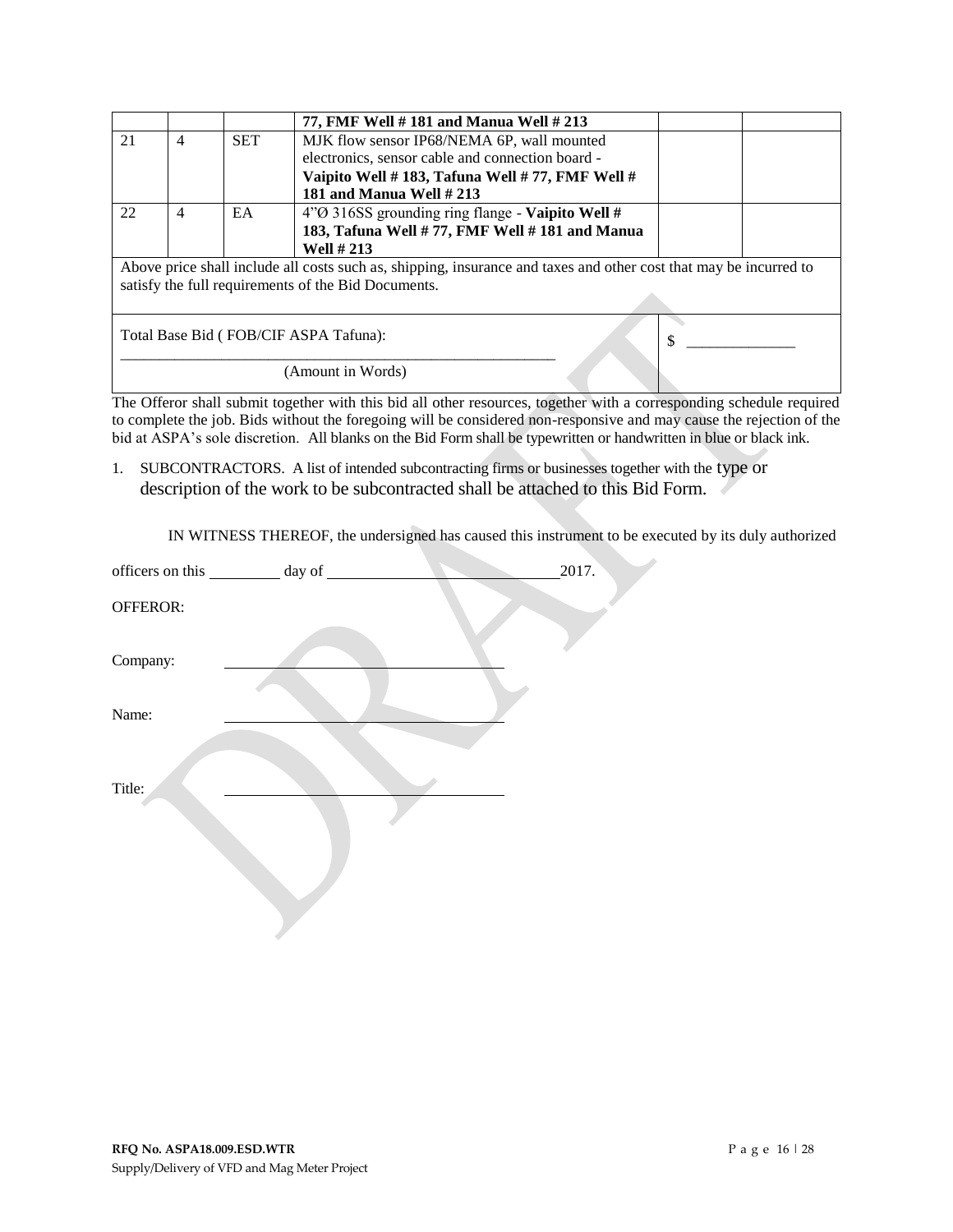|                                                                                                                                                                          |   |            | 77, FMF Well #181 and Manua Well #213                                                                                |  |  |  |
|--------------------------------------------------------------------------------------------------------------------------------------------------------------------------|---|------------|----------------------------------------------------------------------------------------------------------------------|--|--|--|
| 21                                                                                                                                                                       | 4 | <b>SET</b> | MJK flow sensor IP68/NEMA 6P, wall mounted                                                                           |  |  |  |
|                                                                                                                                                                          |   |            | electronics, sensor cable and connection board -                                                                     |  |  |  |
|                                                                                                                                                                          |   |            | Vaipito Well #183, Tafuna Well #77, FMF Well #                                                                       |  |  |  |
|                                                                                                                                                                          |   |            | 181 and Manua Well $#213$                                                                                            |  |  |  |
| 22                                                                                                                                                                       | 4 | EA         | $4\degree$ 316SS grounding ring flange - Vaipito Well #                                                              |  |  |  |
|                                                                                                                                                                          |   |            | 183, Tafuna Well #77, FMF Well #181 and Manua                                                                        |  |  |  |
|                                                                                                                                                                          |   |            | <b>Well #213</b>                                                                                                     |  |  |  |
| Above price shall include all costs such as, shipping, insurance and taxes and other cost that may be incurred to<br>satisfy the full requirements of the Bid Documents. |   |            |                                                                                                                      |  |  |  |
| Total Base Bid (FOB/CIF ASPA Tafuna):                                                                                                                                    |   |            |                                                                                                                      |  |  |  |
| (Amount in Words)                                                                                                                                                        |   |            |                                                                                                                      |  |  |  |
|                                                                                                                                                                          |   |            | The Offeror shall submit together with this bid all other resources, together with a corresponding schedule required |  |  |  |

The Offeror shall submit together with this bid all other resources, together with a corresponding schedule required to complete the job. Bids without the foregoing will be considered non-responsive and may cause the rejection of the bid at ASPA's sole discretion. All blanks on the Bid Form shall be typewritten or handwritten in blue or black ink.

1. SUBCONTRACTORS. A list of intended subcontracting firms or businesses together with the type or description of the work to be subcontracted shall be attached to this Bid Form.

IN WITNESS THEREOF, the undersigned has caused this instrument to be executed by its duly authorized

|          | officers on this __________ day of _______ | 2017. |
|----------|--------------------------------------------|-------|
| OFFEROR: |                                            |       |
| Company: |                                            |       |
| Name:    |                                            |       |
| Title:   |                                            |       |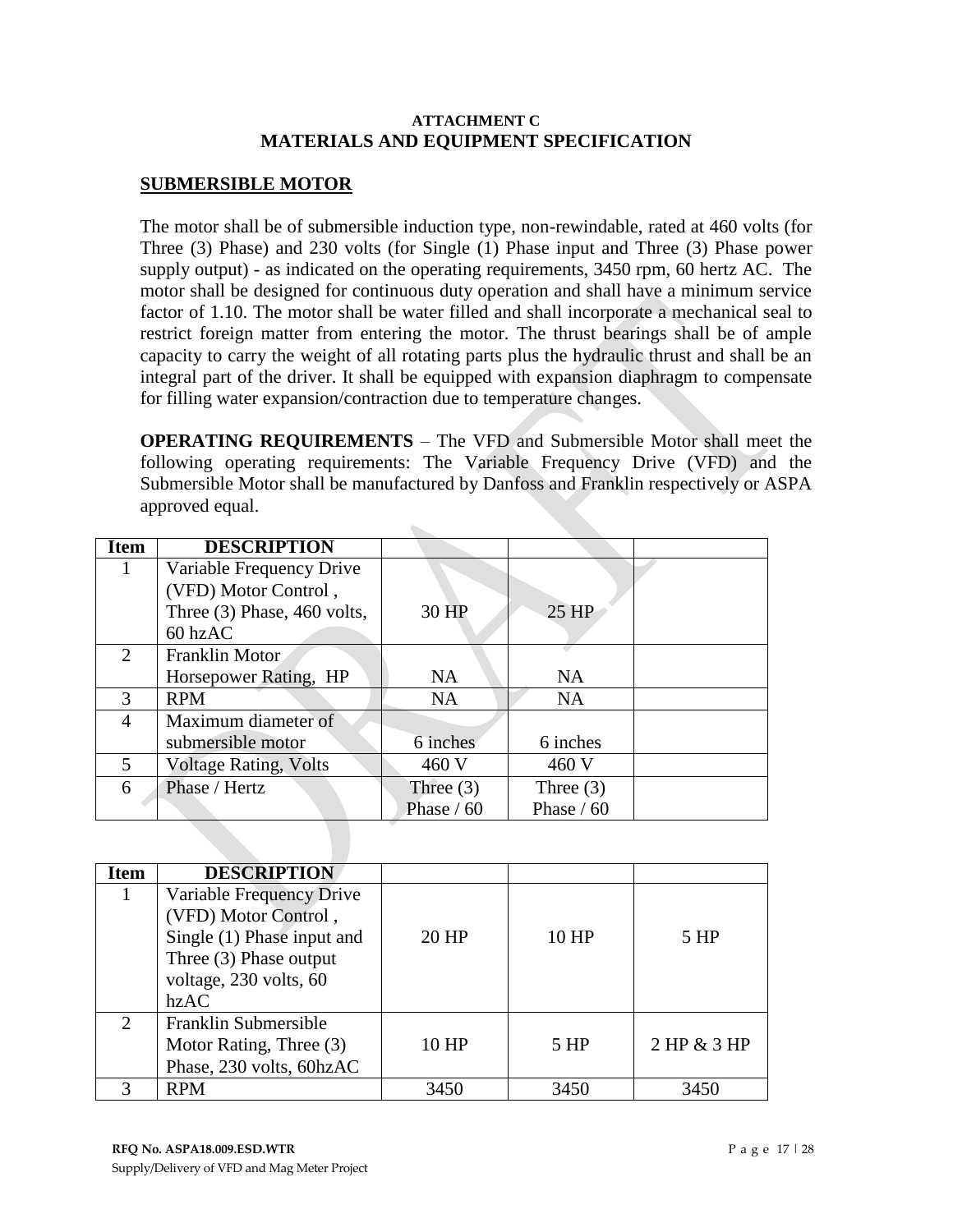## **ATTACHMENT C MATERIALS AND EQUIPMENT SPECIFICATION**

# **SUBMERSIBLE MOTOR**

The motor shall be of submersible induction type, non-rewindable, rated at 460 volts (for Three (3) Phase) and 230 volts (for Single (1) Phase input and Three (3) Phase power supply output) - as indicated on the operating requirements, 3450 rpm, 60 hertz AC. The motor shall be designed for continuous duty operation and shall have a minimum service factor of 1.10. The motor shall be water filled and shall incorporate a mechanical seal to restrict foreign matter from entering the motor. The thrust bearings shall be of ample capacity to carry the weight of all rotating parts plus the hydraulic thrust and shall be an integral part of the driver. It shall be equipped with expansion diaphragm to compensate for filling water expansion/contraction due to temperature changes.

**OPERATING REQUIREMENTS** – The VFD and Submersible Motor shall meet the following operating requirements: The Variable Frequency Drive (VFD) and the Submersible Motor shall be manufactured by Danfoss and Franklin respectively or ASPA approved equal.

| <b>Item</b>                 | <b>DESCRIPTION</b>           |             |              |  |
|-----------------------------|------------------------------|-------------|--------------|--|
| 1                           | Variable Frequency Drive     |             |              |  |
|                             | (VFD) Motor Control,         |             |              |  |
|                             | Three (3) Phase, 460 volts,  | 30 HP       | $25$ HP      |  |
|                             | 60 hzAC                      |             |              |  |
| $\mathcal{D}_{\mathcal{L}}$ | Franklin Motor               |             |              |  |
|                             | Horsepower Rating, HP        | NA          | NA           |  |
| $\mathcal{F}$               | <b>RPM</b>                   | <b>NA</b>   | <b>NA</b>    |  |
| 4                           | Maximum diameter of          |             |              |  |
|                             | submersible motor            | 6 inches    | 6 inches     |  |
| 5                           | <b>Voltage Rating, Volts</b> | 460 V       | 460 V        |  |
| 6                           | Phase / Hertz                | Three $(3)$ | Three $(3)$  |  |
|                             |                              | Phase / 60  | Phase $/ 60$ |  |

 $\mathcal{C}_{\mathcal{M}}$ 

| Item                        | <b>DESCRIPTION</b>                                                                                                                         |       |       |                 |
|-----------------------------|--------------------------------------------------------------------------------------------------------------------------------------------|-------|-------|-----------------|
| 1                           | Variable Frequency Drive<br>(VFD) Motor Control,<br>Single (1) Phase input and<br>Three (3) Phase output<br>voltage, 230 volts, 60<br>hzAC | 20 HP | 10 HP | 5 HP            |
| $\mathcal{D}_{\mathcal{L}}$ | Franklin Submersible<br>Motor Rating, Three (3)<br>Phase, 230 volts, 60hzAC                                                                | 10 HP | 5 HP  | $2$ HP & $3$ HP |
|                             | <b>RPM</b>                                                                                                                                 | 3450  | 3450  | 3450            |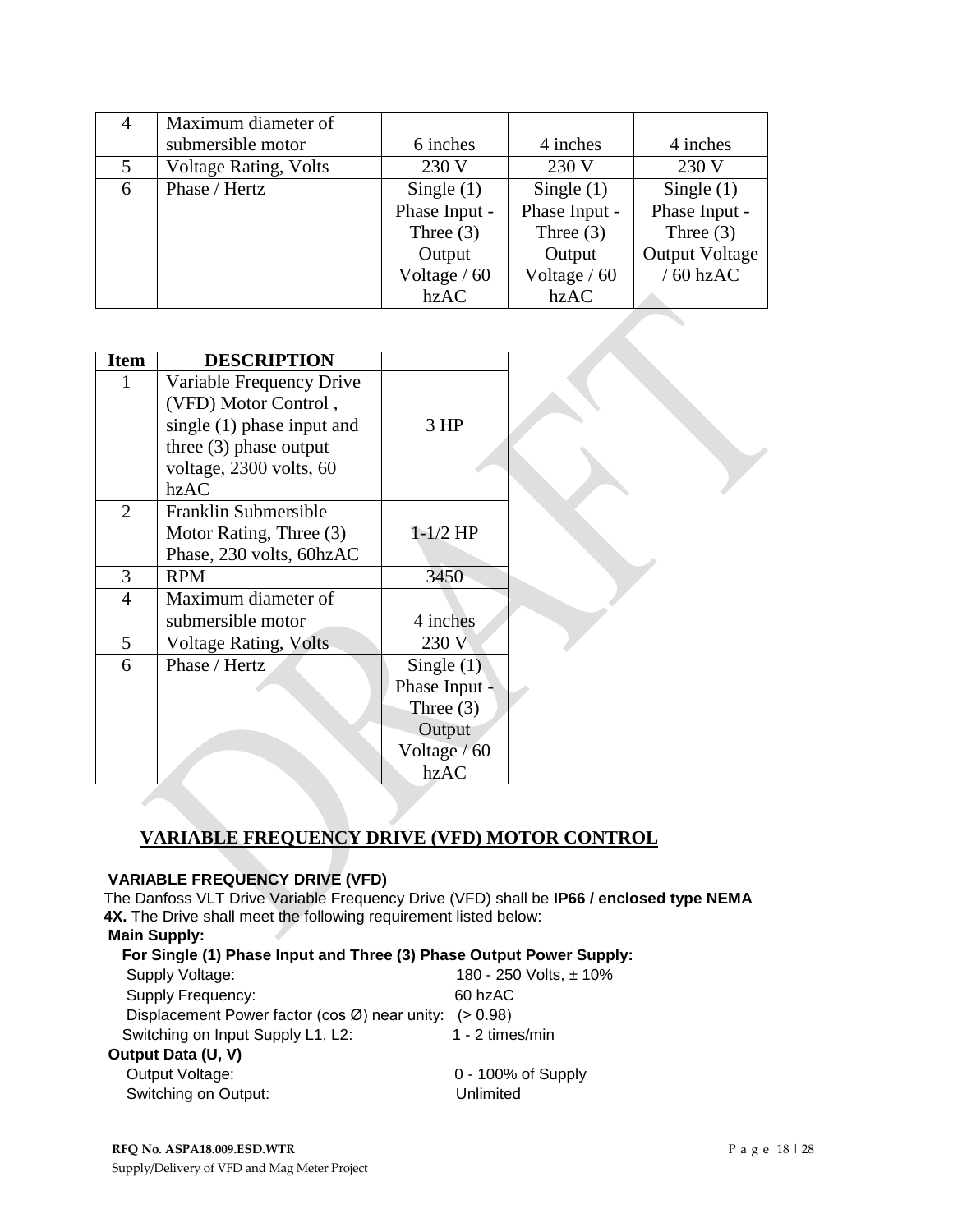| 4 | Maximum diameter of          |               |               |                       |
|---|------------------------------|---------------|---------------|-----------------------|
|   | submersible motor            | 6 inches      | 4 inches      | 4 inches              |
| 5 | <b>Voltage Rating, Volts</b> | 230 V         | 230 V         | 230 V                 |
| 6 | Phase / Hertz                | Single $(1)$  | Single $(1)$  | Single $(1)$          |
|   |                              | Phase Input - | Phase Input - | Phase Input -         |
|   |                              | Three $(3)$   | Three $(3)$   | Three $(3)$           |
|   |                              | Output        | Output        | <b>Output Voltage</b> |
|   |                              | Voltage $/60$ | Voltage / 60  | $/60$ hzAC            |
|   |                              | hzAC          | hzAC          |                       |

| <b>Item</b>    | <b>DESCRIPTION</b>           |               |  |
|----------------|------------------------------|---------------|--|
| $\mathbf{1}$   | Variable Frequency Drive     |               |  |
|                | (VFD) Motor Control,         |               |  |
|                | single $(1)$ phase input and | 3 HP          |  |
|                | three $(3)$ phase output     |               |  |
|                | voltage, 2300 volts, 60      |               |  |
|                | hzAC                         |               |  |
| $\overline{2}$ | Franklin Submersible         |               |  |
|                | Motor Rating, Three (3)      | $1-1/2$ HP    |  |
|                | Phase, 230 volts, 60hzAC     |               |  |
| 3              | <b>RPM</b>                   | 3450          |  |
| 4              | Maximum diameter of          |               |  |
|                | submersible motor            | 4 inches      |  |
| 5              | <b>Voltage Rating, Volts</b> | 230 V         |  |
| 6              | Phase / Hertz                | Single $(1)$  |  |
|                |                              | Phase Input - |  |
|                |                              | Three $(3)$   |  |
|                |                              | Output        |  |
|                |                              | Voltage / 60  |  |
|                |                              | hzAC          |  |

# **VARIABLE FREQUENCY DRIVE (VFD) MOTOR CONTROL**

## **VARIABLE FREQUENCY DRIVE (VFD)**

The Danfoss VLT Drive Variable Frequency Drive (VFD) shall be **IP66 / enclosed type NEMA 4X.** The Drive shall meet the following requirement listed below: **Main Supply:** 

| For Single (1) Phase Input and Three (3) Phase Output Power Supply: |                        |  |  |  |
|---------------------------------------------------------------------|------------------------|--|--|--|
| Supply Voltage:                                                     | 180 - 250 Volts, ± 10% |  |  |  |
| Supply Frequency:                                                   | 60 hzAC                |  |  |  |
| Displacement Power factor (cos Ø) near unity:                       | (> 0.98)               |  |  |  |
| Switching on Input Supply L1, L2:                                   | 1 - 2 times/min        |  |  |  |
| Output Data (U, V)                                                  |                        |  |  |  |
| Output Voltage:                                                     | $0 - 100\%$ of Supply  |  |  |  |
| Switching on Output:                                                | Unlimited              |  |  |  |
|                                                                     |                        |  |  |  |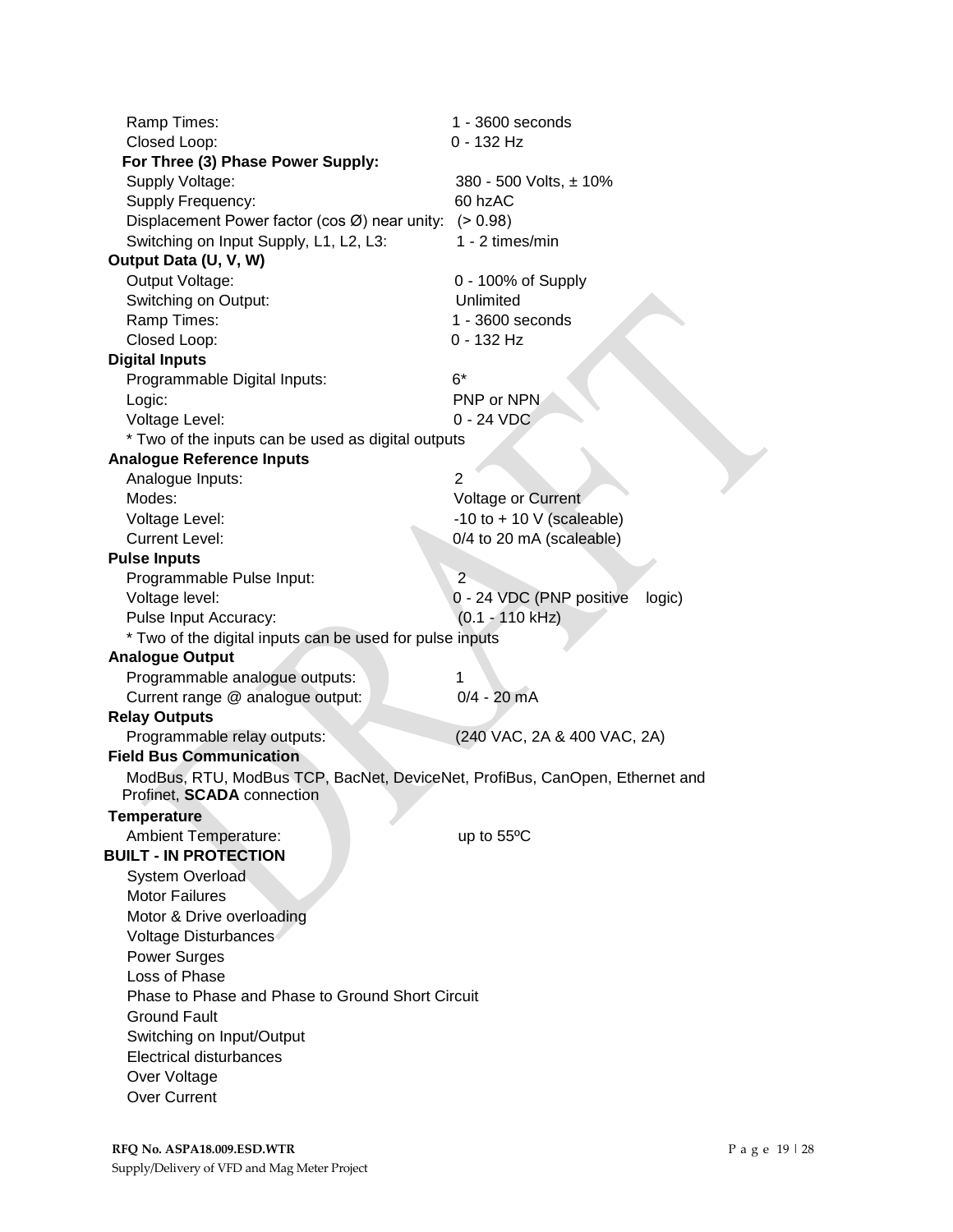| Ramp Times:                                                                 | 1 - 3600 seconds                   |  |  |  |  |
|-----------------------------------------------------------------------------|------------------------------------|--|--|--|--|
| Closed Loop:                                                                | 0 - 132 Hz                         |  |  |  |  |
| For Three (3) Phase Power Supply:                                           |                                    |  |  |  |  |
| Supply Voltage:                                                             | 380 - 500 Volts, ± 10%             |  |  |  |  |
| Supply Frequency:                                                           | 60 hzAC                            |  |  |  |  |
| Displacement Power factor (cos $\varnothing$ ) near unity: (> 0.98)         |                                    |  |  |  |  |
| Switching on Input Supply, L1, L2, L3:                                      | 1 - 2 times/min                    |  |  |  |  |
| Output Data (U, V, W)                                                       |                                    |  |  |  |  |
| Output Voltage:                                                             | 0 - 100% of Supply                 |  |  |  |  |
| Switching on Output:                                                        | Unlimited                          |  |  |  |  |
| Ramp Times:                                                                 | 1 - 3600 seconds                   |  |  |  |  |
| Closed Loop:                                                                | $0 - 132$ Hz                       |  |  |  |  |
| <b>Digital Inputs</b>                                                       |                                    |  |  |  |  |
| Programmable Digital Inputs:                                                | $6*$                               |  |  |  |  |
| Logic:                                                                      | PNP or NPN                         |  |  |  |  |
| Voltage Level:                                                              | $0 - 24 VDC$                       |  |  |  |  |
| * Two of the inputs can be used as digital outputs                          |                                    |  |  |  |  |
| <b>Analogue Reference Inputs</b>                                            |                                    |  |  |  |  |
| Analogue Inputs:                                                            | 2                                  |  |  |  |  |
| Modes:                                                                      | Voltage or Current                 |  |  |  |  |
| Voltage Level:                                                              | -10 to + 10 $V$ (scaleable)        |  |  |  |  |
| <b>Current Level:</b>                                                       | 0/4 to 20 mA (scaleable)           |  |  |  |  |
| <b>Pulse Inputs</b>                                                         |                                    |  |  |  |  |
| Programmable Pulse Input:                                                   | $\overline{2}$                     |  |  |  |  |
| Voltage level:                                                              | 0 - 24 VDC (PNP positive<br>logic) |  |  |  |  |
| Pulse Input Accuracy:                                                       | (0.1 - 110 kHz)                    |  |  |  |  |
| * Two of the digital inputs can be used for pulse inputs                    |                                    |  |  |  |  |
| <b>Analogue Output</b>                                                      |                                    |  |  |  |  |
| Programmable analogue outputs:                                              | 1                                  |  |  |  |  |
| Current range @ analogue output:                                            | $0/4 - 20$ mA                      |  |  |  |  |
| <b>Relay Outputs</b>                                                        |                                    |  |  |  |  |
| Programmable relay outputs:                                                 | (240 VAC, 2A & 400 VAC, 2A)        |  |  |  |  |
| <b>Field Bus Communication</b>                                              |                                    |  |  |  |  |
| ModBus, RTU, ModBus TCP, BacNet, DeviceNet, ProfiBus, CanOpen, Ethernet and |                                    |  |  |  |  |
| Profinet, <b>SCADA</b> connection                                           |                                    |  |  |  |  |
| <b>Temperature</b>                                                          |                                    |  |  |  |  |
| <b>Ambient Temperature:</b>                                                 | up to $55^{\circ}$ C               |  |  |  |  |
| <b>BUILT - IN PROTECTION</b>                                                |                                    |  |  |  |  |
| <b>System Overload</b>                                                      |                                    |  |  |  |  |
| <b>Motor Failures</b>                                                       |                                    |  |  |  |  |
| Motor & Drive overloading                                                   |                                    |  |  |  |  |
| Voltage Disturbances                                                        |                                    |  |  |  |  |
| <b>Power Surges</b>                                                         |                                    |  |  |  |  |
| Loss of Phase                                                               |                                    |  |  |  |  |
| Phase to Phase and Phase to Ground Short Circuit                            |                                    |  |  |  |  |
|                                                                             |                                    |  |  |  |  |
| <b>Ground Fault</b>                                                         |                                    |  |  |  |  |
| Switching on Input/Output                                                   |                                    |  |  |  |  |
| <b>Electrical disturbances</b>                                              |                                    |  |  |  |  |
| Over Voltage                                                                |                                    |  |  |  |  |
| <b>Over Current</b>                                                         |                                    |  |  |  |  |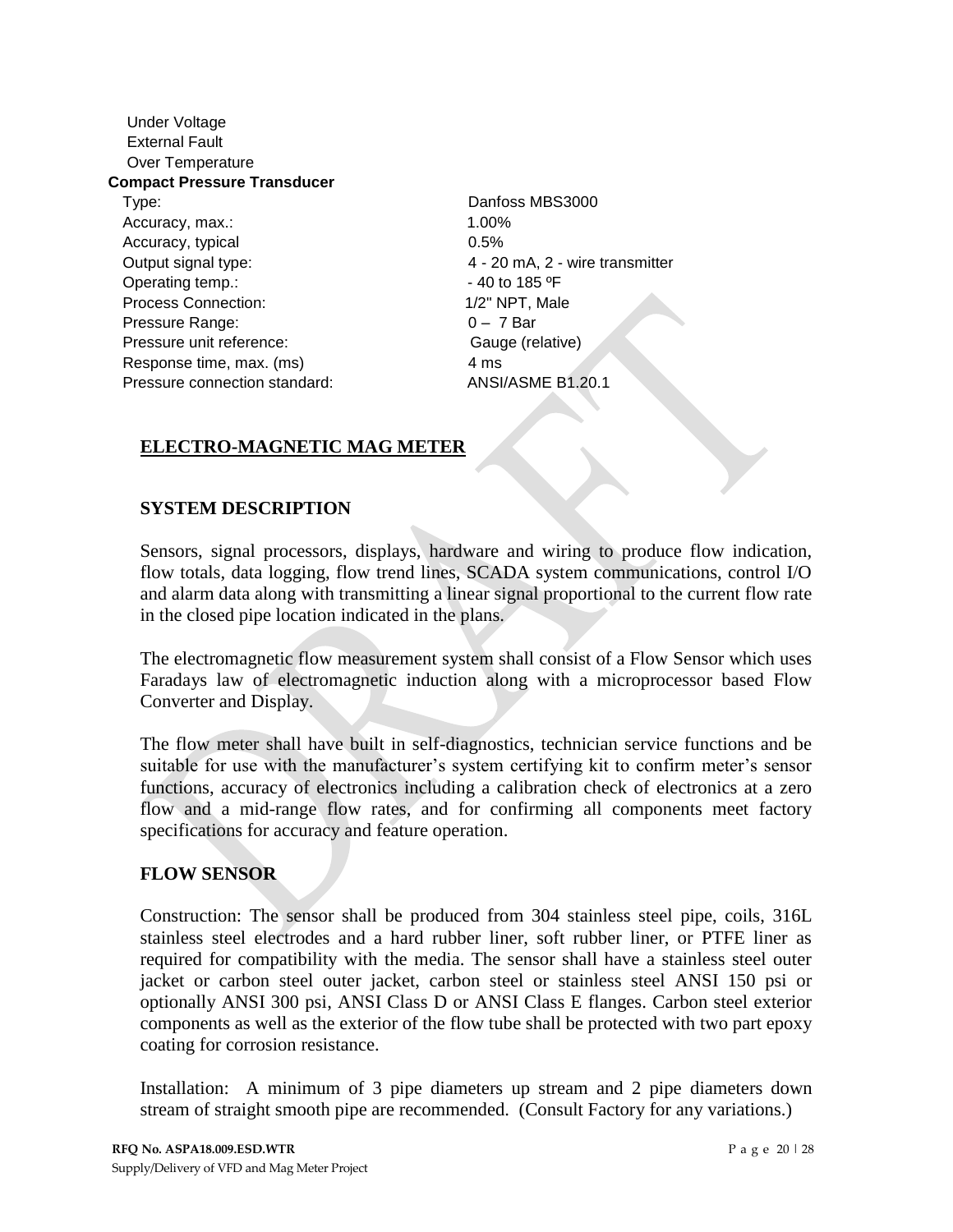Under Voltage External Fault Over Temperature **Compact Pressure Transducer** Type: Danfoss MBS3000 Accuracy, max.: 1.00% Accuracy, typical 0.5% Output signal type: 4 - 20 mA, 2 - wire transmitter Operating temp.:  $-40$  to 185 °F Process Connection: 1/2" NPT, Male Pressure Range: 0 – 7 Bar Pressure unit reference: Gauge (relative) Response time, max. (ms) 4 ms Pressure connection standard: ANSI/ASME B1.20.1

# **ELECTRO-MAGNETIC MAG METER**

# **SYSTEM DESCRIPTION**

Sensors, signal processors, displays, hardware and wiring to produce flow indication, flow totals, data logging, flow trend lines, SCADA system communications, control I/O and alarm data along with transmitting a linear signal proportional to the current flow rate in the closed pipe location indicated in the plans.

The electromagnetic flow measurement system shall consist of a Flow Sensor which uses Faradays law of electromagnetic induction along with a microprocessor based Flow Converter and Display.

The flow meter shall have built in self-diagnostics, technician service functions and be suitable for use with the manufacturer's system certifying kit to confirm meter's sensor functions, accuracy of electronics including a calibration check of electronics at a zero flow and a mid-range flow rates, and for confirming all components meet factory specifications for accuracy and feature operation.

# **FLOW SENSOR**

Construction: The sensor shall be produced from 304 stainless steel pipe, coils, 316L stainless steel electrodes and a hard rubber liner, soft rubber liner, or PTFE liner as required for compatibility with the media. The sensor shall have a stainless steel outer jacket or carbon steel outer jacket, carbon steel or stainless steel ANSI 150 psi or optionally ANSI 300 psi, ANSI Class D or ANSI Class E flanges. Carbon steel exterior components as well as the exterior of the flow tube shall be protected with two part epoxy coating for corrosion resistance.

Installation: A minimum of 3 pipe diameters up stream and 2 pipe diameters down stream of straight smooth pipe are recommended. (Consult Factory for any variations.)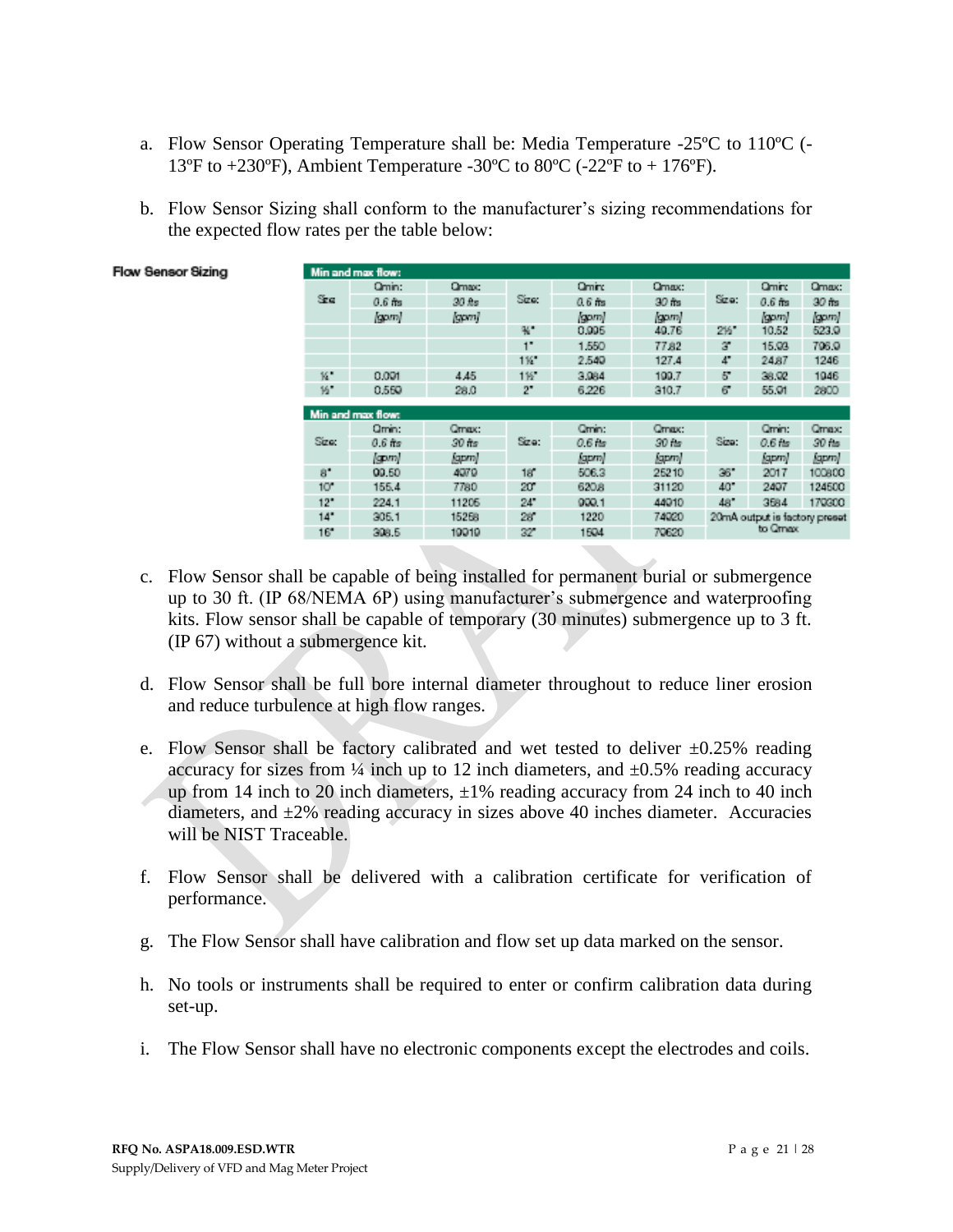- a. Flow Sensor Operating Temperature shall be: Media Temperature -25ºC to 110ºC (- 13°F to  $+230$ °F), Ambient Temperature -30°C to 80°C (-22°F to  $+176$ °F).
- b. Flow Sensor Sizing shall conform to the manufacturer's sizing recommendations for the expected flow rates per the table below:

|                 | Min and max flow: |                |             |           |          |         |                               |          |
|-----------------|-------------------|----------------|-------------|-----------|----------|---------|-------------------------------|----------|
|                 | Qmin:             | Qmax:          |             | Omin:     | Qmax:    |         | <b>Qmin:</b>                  | Qmax:    |
| Sze             | $0.6$ fts         | $30$ $\hbar$ s | Size:       | $0.6$ fts | $30$ fts | Sizo:   | $0.6$ fts                     | $30$ fts |
|                 | (gom)             | [gpm]          |             | (gom)     | (gom)    |         | (gom)                         | (gpm)    |
|                 |                   |                | ₩.          | 0.005     | 49.76    | 215"    | 10.52                         | 523.9    |
|                 |                   |                | $1^{\circ}$ | 1.550     | 77.82    | з       | 15.03                         | 706.0    |
|                 |                   |                | 116         | 2.540     | 127.4    | 4"      | 24.87                         | 1246     |
| к.              | 0.001             | 4.45           | 115         | 3,984     | 100.7    | 57      | 38.92                         | 1946     |
| 16              | 0.550             | 28.0           | 2"          | 6.226     | 310.7    | 67      | 55.01                         | 2800     |
|                 | Min and max flow: |                |             |           |          |         |                               |          |
|                 | Qmin:             | Qmax:          |             | Cmm:      | Omax:    |         | Omin:                         | Qmax:    |
| Size:           | $0.6$ fts         | 30 fts         | Sizo:       | $0.6$ fm  | $30$ fm  | Size:   | $0.6$ fm                      | 30 fts   |
|                 | (gpm)             | (gpm)          |             | (gpm)     | (gpm)    |         | (gpm)                         | kapm)    |
| 8*              | 00.50             | 4070           | 18          | 506.3     | 25210    | 36      | 2017                          | 100800   |
| 10 <sup>o</sup> | 155.4             | 7780           | 20°         | 620.8     | 31120    | 40"     | 2407                          | 124500   |
| 12"             | 224.1             | 11206          | 24"         | 000.1     | 44010    | 48*     | 3684                          | 170300   |
| 14"             | 305.1             | 15258          | 28          | 1220      | 74020    |         | 20mA output is factory preset |          |
| 16"             | 308.5             | 19919          | 32          | 1504      | 70620    | to Omax |                               |          |

**Flow Sensor Sizing** 

- c. Flow Sensor shall be capable of being installed for permanent burial or submergence up to 30 ft. (IP 68/NEMA 6P) using manufacturer's submergence and waterproofing kits. Flow sensor shall be capable of temporary (30 minutes) submergence up to 3 ft. (IP 67) without a submergence kit.
- d. Flow Sensor shall be full bore internal diameter throughout to reduce liner erosion and reduce turbulence at high flow ranges.
- e. Flow Sensor shall be factory calibrated and wet tested to deliver  $\pm 0.25\%$  reading accuracy for sizes from  $\frac{1}{4}$  inch up to 12 inch diameters, and  $\pm 0.5\%$  reading accuracy up from 14 inch to 20 inch diameters,  $\pm 1\%$  reading accuracy from 24 inch to 40 inch diameters, and  $\pm 2\%$  reading accuracy in sizes above 40 inches diameter. Accuracies will be NIST Traceable.
- f. Flow Sensor shall be delivered with a calibration certificate for verification of performance.
- g. The Flow Sensor shall have calibration and flow set up data marked on the sensor.
- h. No tools or instruments shall be required to enter or confirm calibration data during set-up.
- i. The Flow Sensor shall have no electronic components except the electrodes and coils.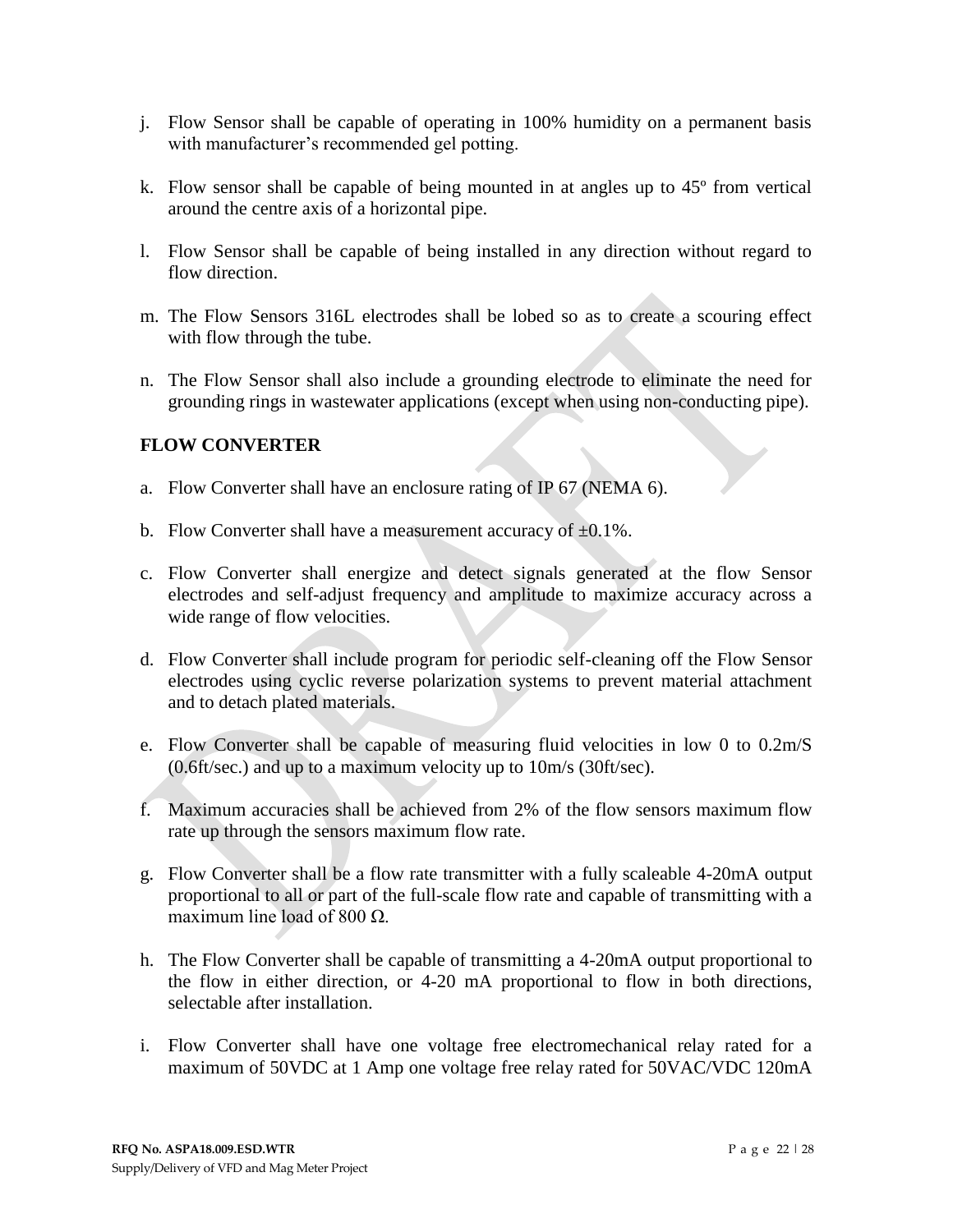- j. Flow Sensor shall be capable of operating in 100% humidity on a permanent basis with manufacturer's recommended gel potting.
- k. Flow sensor shall be capable of being mounted in at angles up to 45º from vertical around the centre axis of a horizontal pipe.
- l. Flow Sensor shall be capable of being installed in any direction without regard to flow direction.
- m. The Flow Sensors 316L electrodes shall be lobed so as to create a scouring effect with flow through the tube.
- n. The Flow Sensor shall also include a grounding electrode to eliminate the need for grounding rings in wastewater applications (except when using non-conducting pipe).

# **FLOW CONVERTER**

- a. Flow Converter shall have an enclosure rating of IP 67 (NEMA 6).
- b. Flow Converter shall have a measurement accuracy of  $\pm 0.1\%$ .
- c. Flow Converter shall energize and detect signals generated at the flow Sensor electrodes and self-adjust frequency and amplitude to maximize accuracy across a wide range of flow velocities.
- d. Flow Converter shall include program for periodic self-cleaning off the Flow Sensor electrodes using cyclic reverse polarization systems to prevent material attachment and to detach plated materials.
- e. Flow Converter shall be capable of measuring fluid velocities in low 0 to 0.2m/S (0.6ft/sec.) and up to a maximum velocity up to 10m/s (30ft/sec).
- f. Maximum accuracies shall be achieved from 2% of the flow sensors maximum flow rate up through the sensors maximum flow rate.
- g. Flow Converter shall be a flow rate transmitter with a fully scaleable 4-20mA output proportional to all or part of the full-scale flow rate and capable of transmitting with a maximum line load of 800 Ω.
- h. The Flow Converter shall be capable of transmitting a 4-20mA output proportional to the flow in either direction, or 4-20 mA proportional to flow in both directions, selectable after installation.
- i. Flow Converter shall have one voltage free electromechanical relay rated for a maximum of 50VDC at 1 Amp one voltage free relay rated for 50VAC/VDC 120mA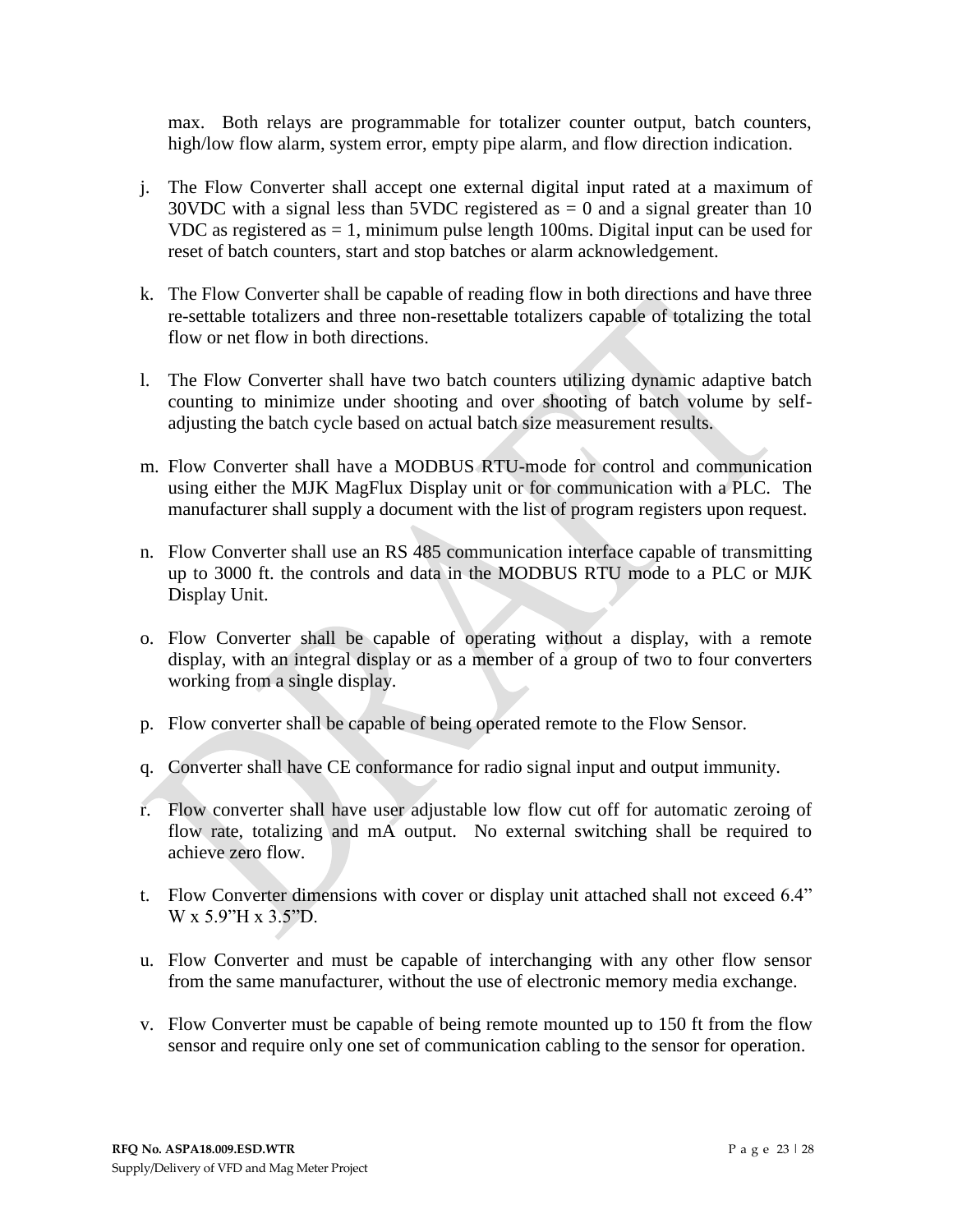max. Both relays are programmable for totalizer counter output, batch counters, high/low flow alarm, system error, empty pipe alarm, and flow direction indication.

- j. The Flow Converter shall accept one external digital input rated at a maximum of 30VDC with a signal less than 5VDC registered as  $= 0$  and a signal greater than 10 VDC as registered as  $= 1$ , minimum pulse length 100ms. Digital input can be used for reset of batch counters, start and stop batches or alarm acknowledgement.
- k. The Flow Converter shall be capable of reading flow in both directions and have three re-settable totalizers and three non-resettable totalizers capable of totalizing the total flow or net flow in both directions.
- l. The Flow Converter shall have two batch counters utilizing dynamic adaptive batch counting to minimize under shooting and over shooting of batch volume by selfadjusting the batch cycle based on actual batch size measurement results.
- m. Flow Converter shall have a MODBUS RTU-mode for control and communication using either the MJK MagFlux Display unit or for communication with a PLC. The manufacturer shall supply a document with the list of program registers upon request.
- n. Flow Converter shall use an RS 485 communication interface capable of transmitting up to 3000 ft. the controls and data in the MODBUS RTU mode to a PLC or MJK Display Unit.
- o. Flow Converter shall be capable of operating without a display, with a remote display, with an integral display or as a member of a group of two to four converters working from a single display.
- p. Flow converter shall be capable of being operated remote to the Flow Sensor.
- q. Converter shall have CE conformance for radio signal input and output immunity.
- r. Flow converter shall have user adjustable low flow cut off for automatic zeroing of flow rate, totalizing and mA output. No external switching shall be required to achieve zero flow.
- t. Flow Converter dimensions with cover or display unit attached shall not exceed 6.4" W x 5.9"H x 3.5"D.
- u. Flow Converter and must be capable of interchanging with any other flow sensor from the same manufacturer, without the use of electronic memory media exchange.
- v. Flow Converter must be capable of being remote mounted up to 150 ft from the flow sensor and require only one set of communication cabling to the sensor for operation.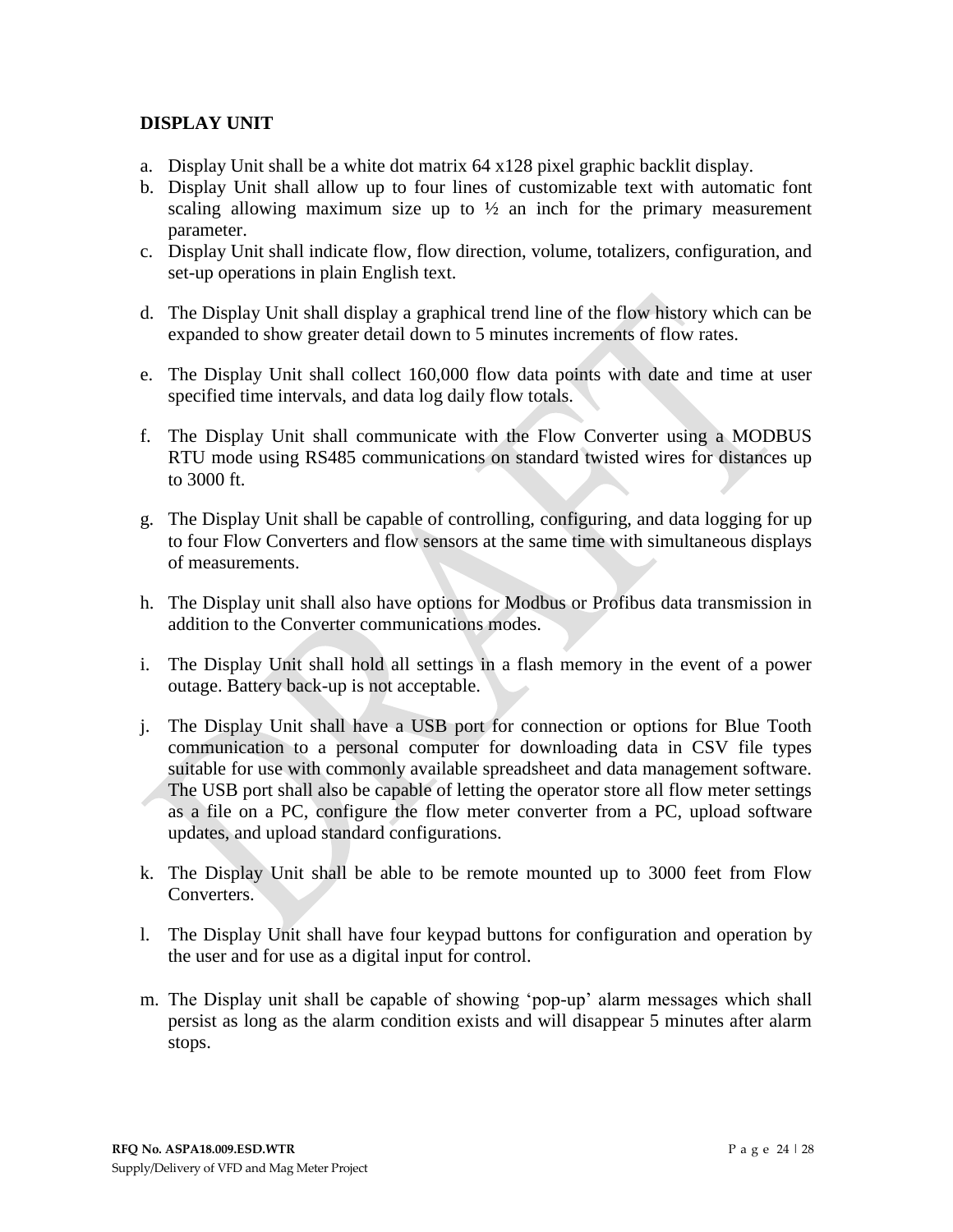# **DISPLAY UNIT**

- a. Display Unit shall be a white dot matrix 64 x128 pixel graphic backlit display.
- b. Display Unit shall allow up to four lines of customizable text with automatic font scaling allowing maximum size up to  $\frac{1}{2}$  an inch for the primary measurement parameter.
- c. Display Unit shall indicate flow, flow direction, volume, totalizers, configuration, and set-up operations in plain English text.
- d. The Display Unit shall display a graphical trend line of the flow history which can be expanded to show greater detail down to 5 minutes increments of flow rates.
- e. The Display Unit shall collect 160,000 flow data points with date and time at user specified time intervals, and data log daily flow totals.
- f. The Display Unit shall communicate with the Flow Converter using a MODBUS RTU mode using RS485 communications on standard twisted wires for distances up to 3000 ft.
- g. The Display Unit shall be capable of controlling, configuring, and data logging for up to four Flow Converters and flow sensors at the same time with simultaneous displays of measurements.
- h. The Display unit shall also have options for Modbus or Profibus data transmission in addition to the Converter communications modes.
- i. The Display Unit shall hold all settings in a flash memory in the event of a power outage. Battery back-up is not acceptable.
- j. The Display Unit shall have a USB port for connection or options for Blue Tooth communication to a personal computer for downloading data in CSV file types suitable for use with commonly available spreadsheet and data management software. The USB port shall also be capable of letting the operator store all flow meter settings as a file on a PC, configure the flow meter converter from a PC, upload software updates, and upload standard configurations.
- k. The Display Unit shall be able to be remote mounted up to 3000 feet from Flow Converters.
- l. The Display Unit shall have four keypad buttons for configuration and operation by the user and for use as a digital input for control.
- m. The Display unit shall be capable of showing 'pop-up' alarm messages which shall persist as long as the alarm condition exists and will disappear 5 minutes after alarm stops.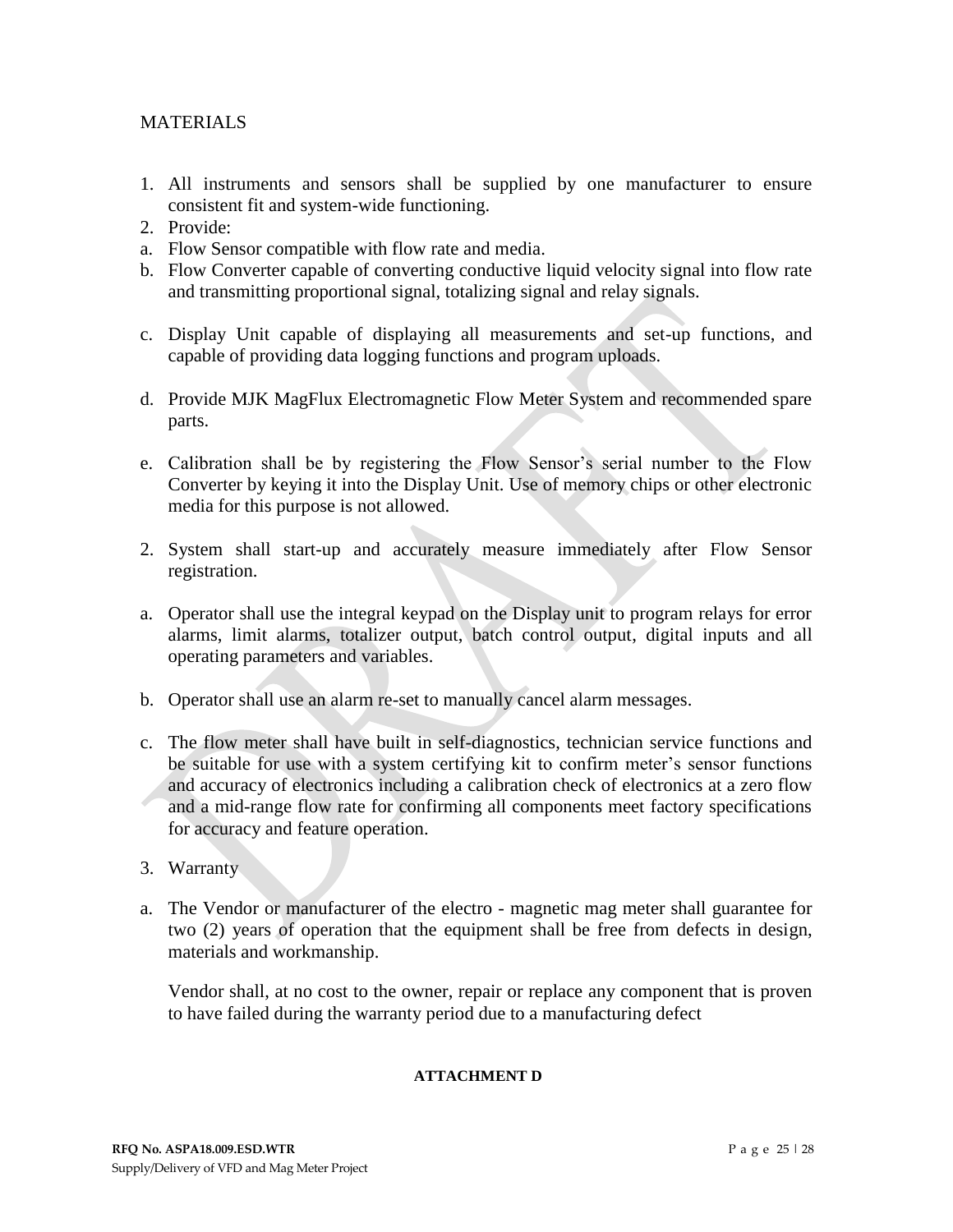# MATERIALS

- 1. All instruments and sensors shall be supplied by one manufacturer to ensure consistent fit and system-wide functioning.
- 2. Provide:
- a. Flow Sensor compatible with flow rate and media.
- b. Flow Converter capable of converting conductive liquid velocity signal into flow rate and transmitting proportional signal, totalizing signal and relay signals.
- c. Display Unit capable of displaying all measurements and set-up functions, and capable of providing data logging functions and program uploads.
- d. Provide MJK MagFlux Electromagnetic Flow Meter System and recommended spare parts.
- e. Calibration shall be by registering the Flow Sensor's serial number to the Flow Converter by keying it into the Display Unit. Use of memory chips or other electronic media for this purpose is not allowed.
- 2. System shall start-up and accurately measure immediately after Flow Sensor registration.
- a. Operator shall use the integral keypad on the Display unit to program relays for error alarms, limit alarms, totalizer output, batch control output, digital inputs and all operating parameters and variables.
- b. Operator shall use an alarm re-set to manually cancel alarm messages.
- c. The flow meter shall have built in self-diagnostics, technician service functions and be suitable for use with a system certifying kit to confirm meter's sensor functions and accuracy of electronics including a calibration check of electronics at a zero flow and a mid-range flow rate for confirming all components meet factory specifications for accuracy and feature operation.
- 3. Warranty
- a. The Vendor or manufacturer of the electro magnetic mag meter shall guarantee for two (2) years of operation that the equipment shall be free from defects in design, materials and workmanship.

Vendor shall, at no cost to the owner, repair or replace any component that is proven to have failed during the warranty period due to a manufacturing defect

## **ATTACHMENT D**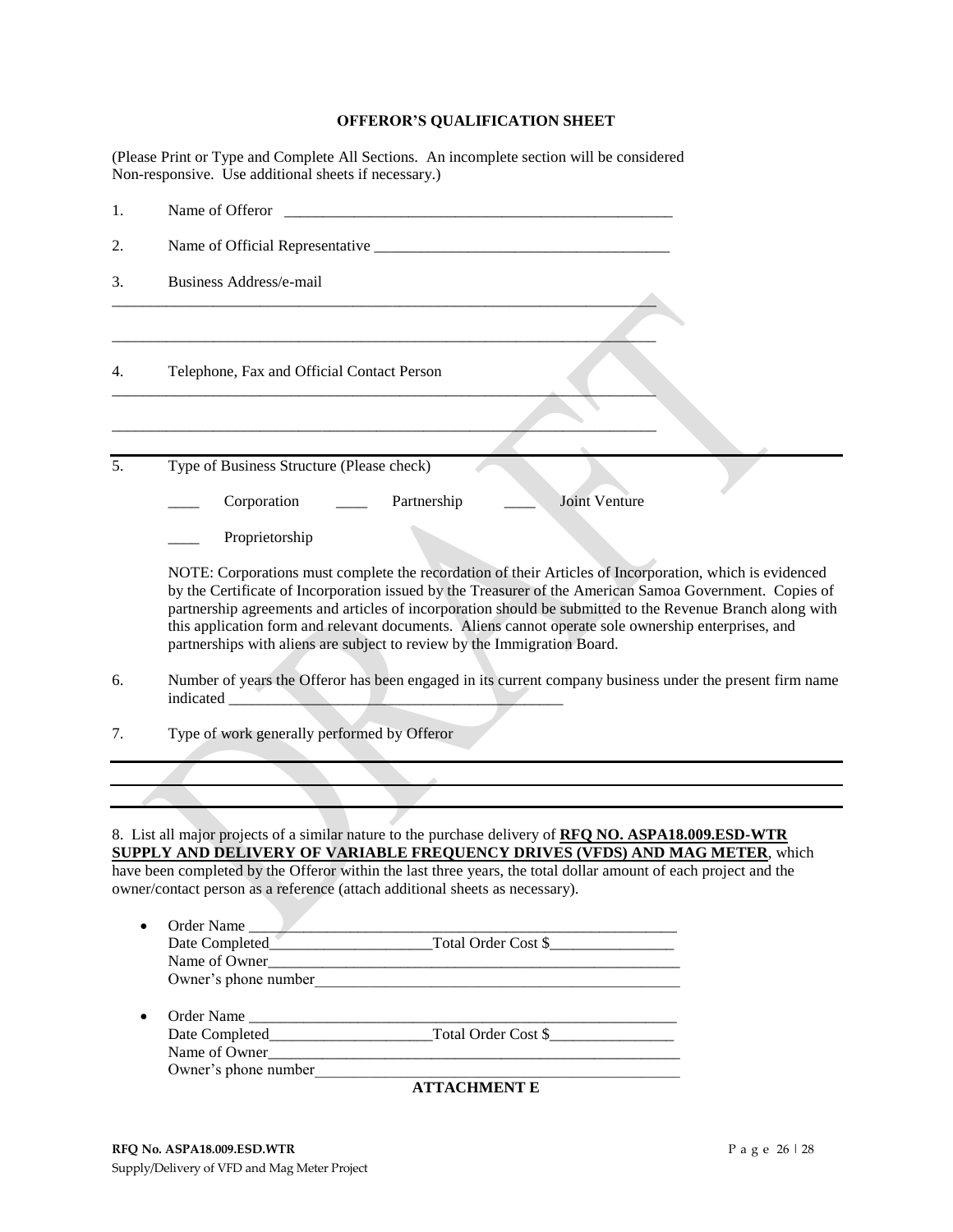## **OFFEROR'S QUALIFICATION SHEET**

(Please Print or Type and Complete All Sections. An incomplete section will be considered Non-responsive. Use additional sheets if necessary.)

| 1. | Name of Offeror                                                                                                                                                                                                                                                                                                                                                                                                                                                                                                    |
|----|--------------------------------------------------------------------------------------------------------------------------------------------------------------------------------------------------------------------------------------------------------------------------------------------------------------------------------------------------------------------------------------------------------------------------------------------------------------------------------------------------------------------|
| 2. |                                                                                                                                                                                                                                                                                                                                                                                                                                                                                                                    |
| 3. | Business Address/e-mail                                                                                                                                                                                                                                                                                                                                                                                                                                                                                            |
| 4. | Telephone, Fax and Official Contact Person                                                                                                                                                                                                                                                                                                                                                                                                                                                                         |
|    |                                                                                                                                                                                                                                                                                                                                                                                                                                                                                                                    |
| 5. | Type of Business Structure (Please check)                                                                                                                                                                                                                                                                                                                                                                                                                                                                          |
|    | <b>Joint Venture</b><br>Corporation<br>Partnership                                                                                                                                                                                                                                                                                                                                                                                                                                                                 |
|    | Proprietorship                                                                                                                                                                                                                                                                                                                                                                                                                                                                                                     |
|    | NOTE: Corporations must complete the recordation of their Articles of Incorporation, which is evidenced<br>by the Certificate of Incorporation issued by the Treasurer of the American Samoa Government. Copies of<br>partnership agreements and articles of incorporation should be submitted to the Revenue Branch along with<br>this application form and relevant documents. Aliens cannot operate sole ownership enterprises, and<br>partnerships with aliens are subject to review by the Immigration Board. |
| 6. | Number of years the Offeror has been engaged in its current company business under the present firm name                                                                                                                                                                                                                                                                                                                                                                                                           |
| 7. | Type of work generally performed by Offeror                                                                                                                                                                                                                                                                                                                                                                                                                                                                        |
|    |                                                                                                                                                                                                                                                                                                                                                                                                                                                                                                                    |
|    |                                                                                                                                                                                                                                                                                                                                                                                                                                                                                                                    |
|    | 8. List all major projects of a similar nature to the purchase delivery of RFQ NO. ASPA18.009.ESD-WTR<br><b>SUPPLY AND DELIVERY OF VARIABLE FREQUENCY DRIVES (VFDS) AND MAG METER, which</b>                                                                                                                                                                                                                                                                                                                       |
|    | have been completed by the Offeror within the last three years, the total dollar amount of each project and the<br>owner/contact person as a reference (attach additional sheets as necessary).                                                                                                                                                                                                                                                                                                                    |
|    |                                                                                                                                                                                                                                                                                                                                                                                                                                                                                                                    |
|    |                                                                                                                                                                                                                                                                                                                                                                                                                                                                                                                    |
|    | Name of Owner                                                                                                                                                                                                                                                                                                                                                                                                                                                                                                      |
|    |                                                                                                                                                                                                                                                                                                                                                                                                                                                                                                                    |
| ٠  |                                                                                                                                                                                                                                                                                                                                                                                                                                                                                                                    |
|    |                                                                                                                                                                                                                                                                                                                                                                                                                                                                                                                    |
|    | Name of Owner                                                                                                                                                                                                                                                                                                                                                                                                                                                                                                      |
|    |                                                                                                                                                                                                                                                                                                                                                                                                                                                                                                                    |
|    | <b>ATTACHMENT E</b>                                                                                                                                                                                                                                                                                                                                                                                                                                                                                                |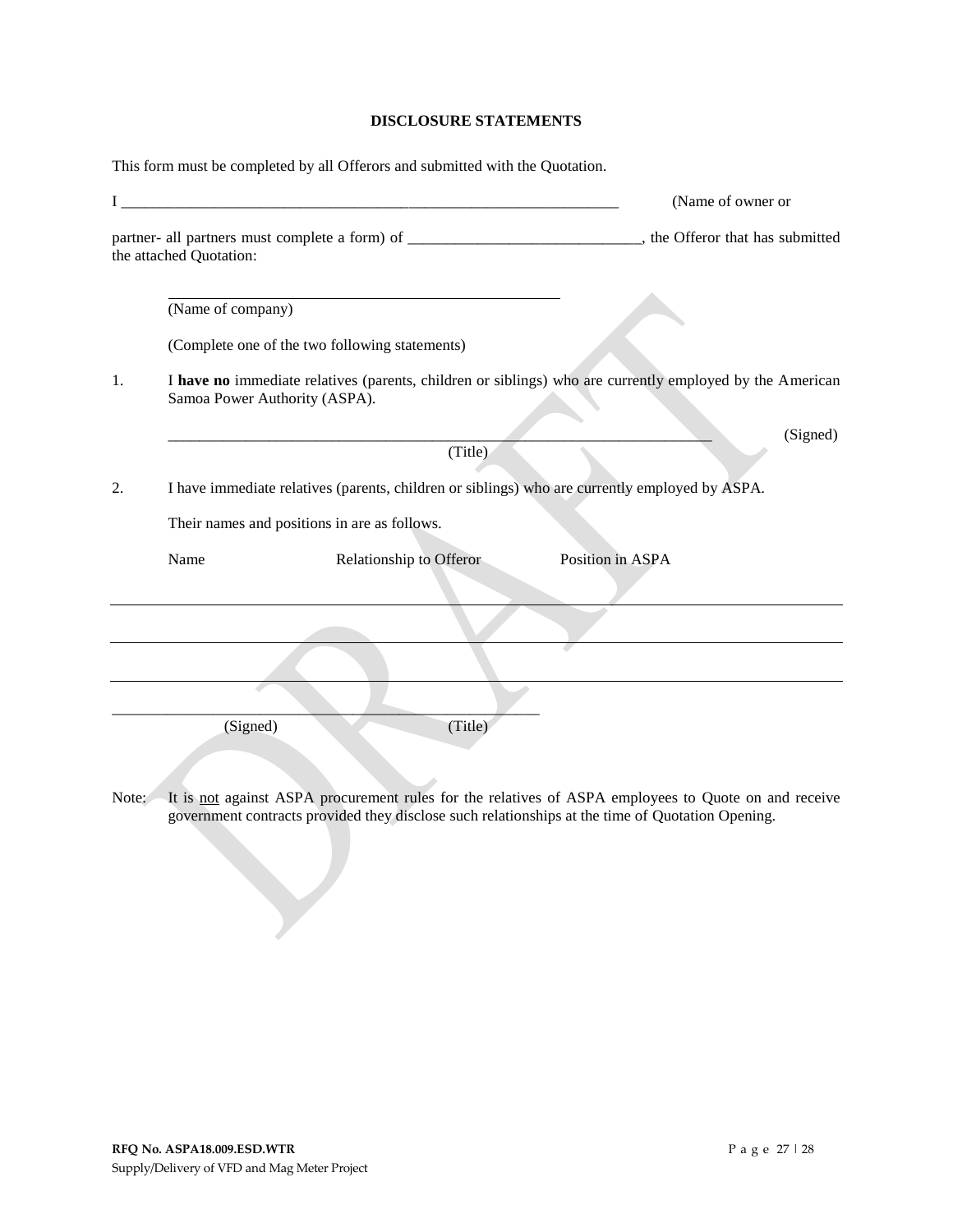## **DISCLOSURE STATEMENTS**

This form must be completed by all Offerors and submitted with the Quotation.

| $\mathbf{I}$ |                         | <u> 1980 - Jan Barnett, martin de filosofoar (h. 1980).</u><br>1900 - Jan Barnett, martin de filosofoar (h. 1900). | (Name of owner or                                                                                                                                                                                        |
|--------------|-------------------------|--------------------------------------------------------------------------------------------------------------------|----------------------------------------------------------------------------------------------------------------------------------------------------------------------------------------------------------|
|              | the attached Quotation: |                                                                                                                    | partner- all partners must complete a form) of ________________________________, the Offeror that has submitted                                                                                          |
|              | (Name of company)       |                                                                                                                    |                                                                                                                                                                                                          |
|              |                         | (Complete one of the two following statements)                                                                     |                                                                                                                                                                                                          |
| 1.           |                         | Samoa Power Authority (ASPA).                                                                                      | I have no immediate relatives (parents, children or siblings) who are currently employed by the American                                                                                                 |
|              |                         | (Title)                                                                                                            | (Signed)                                                                                                                                                                                                 |
|              |                         |                                                                                                                    |                                                                                                                                                                                                          |
| 2.           |                         | I have immediate relatives (parents, children or siblings) who are currently employed by ASPA.                     |                                                                                                                                                                                                          |
|              |                         | Their names and positions in are as follows.                                                                       |                                                                                                                                                                                                          |
|              | Name                    | Relationship to Offeror                                                                                            | Position in ASPA                                                                                                                                                                                         |
|              |                         |                                                                                                                    |                                                                                                                                                                                                          |
|              |                         |                                                                                                                    |                                                                                                                                                                                                          |
|              |                         |                                                                                                                    |                                                                                                                                                                                                          |
|              | (Signed)                | (Title)                                                                                                            |                                                                                                                                                                                                          |
| Note:        |                         |                                                                                                                    | It is not against ASPA procurement rules for the relatives of ASPA employees to Quote on and receive<br>government contracts provided they disclose such relationships at the time of Quotation Opening. |